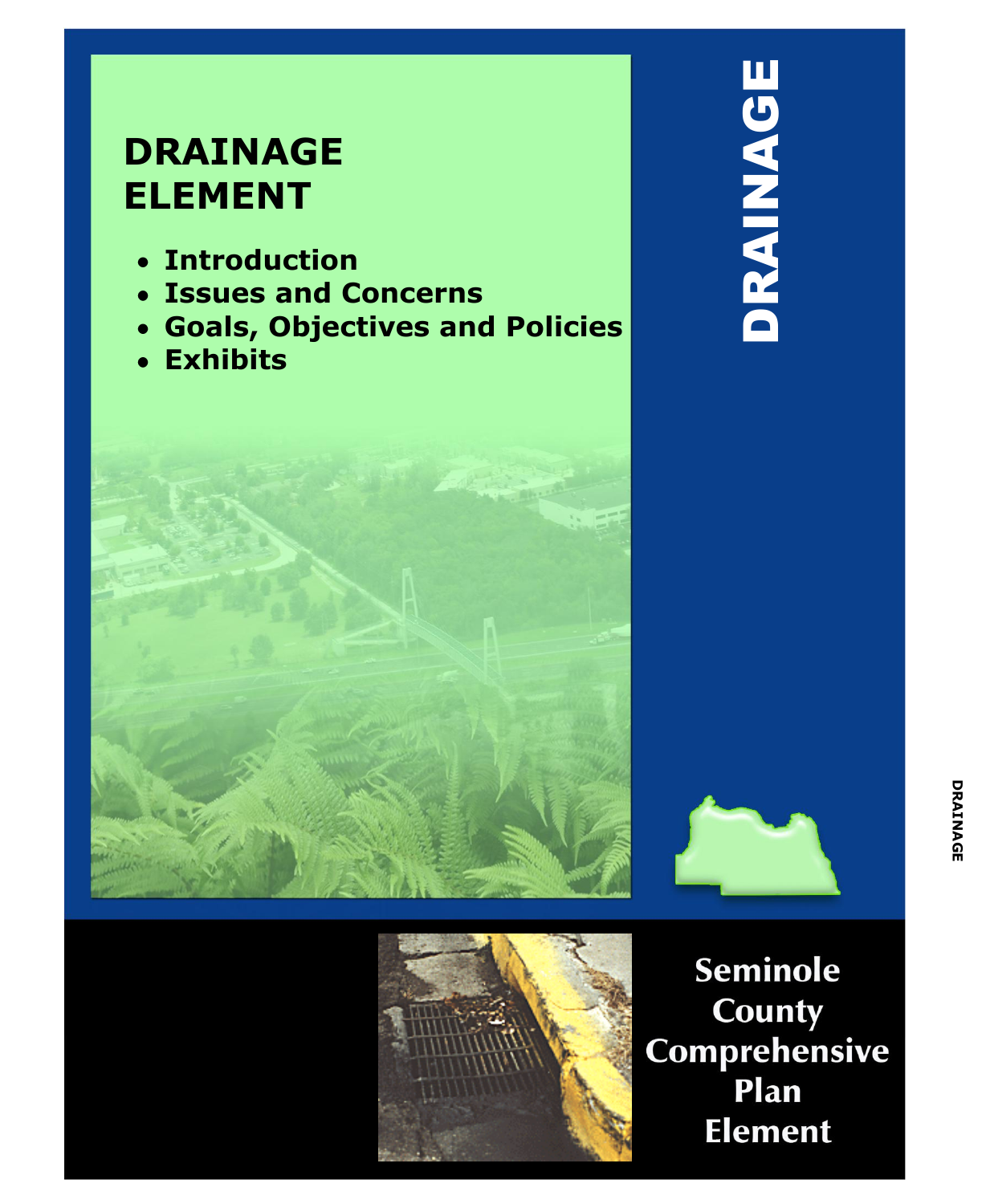# **DRAINAGE ELEMENT**

- **Introduction**  $\bullet$
- **Issues and Concerns**
- **Goals, Objectives and Policies**  $\bullet$
- **Exhibits**







**Seminole** County Comprehensive Plan **Element**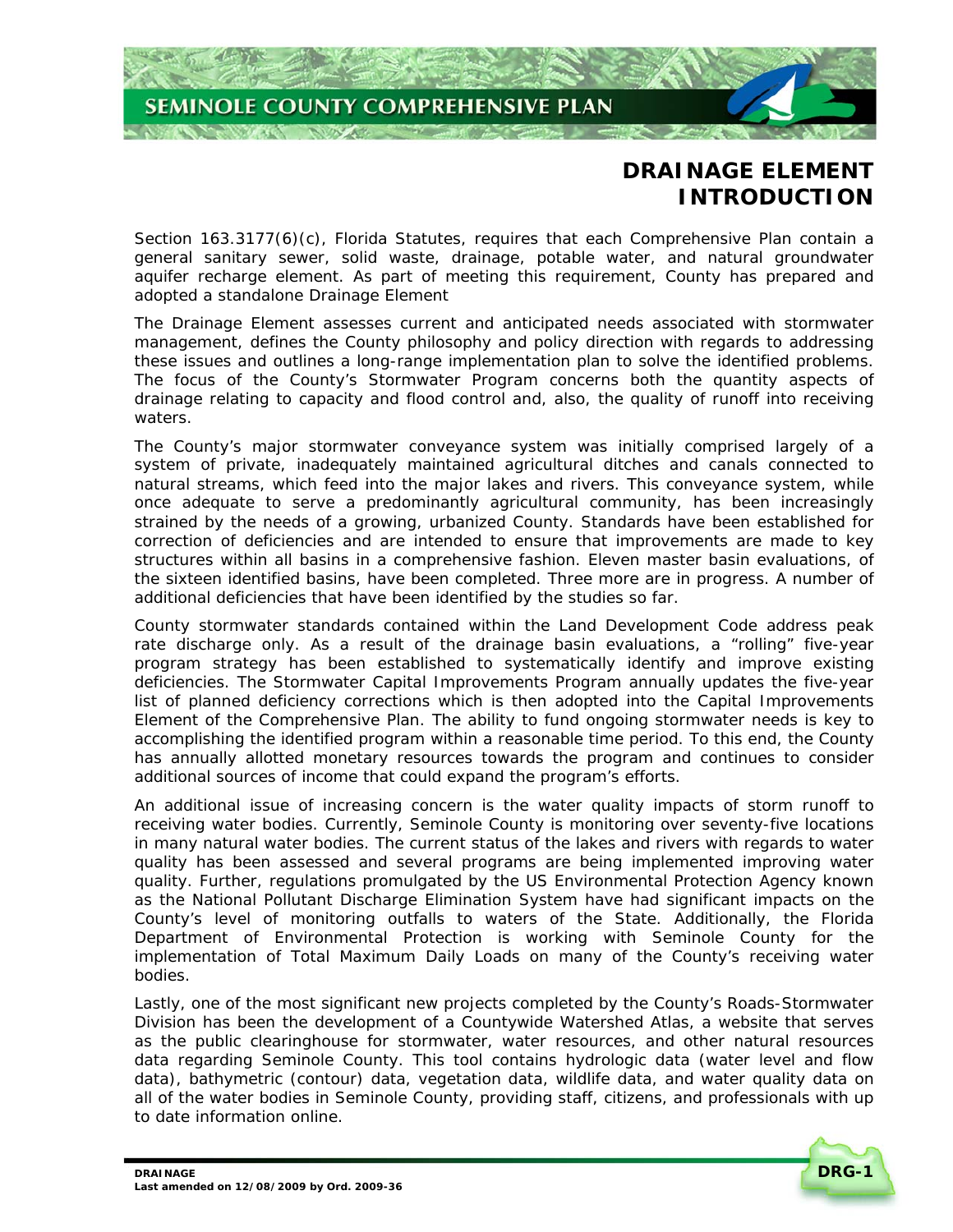

# **DRAINAGE ELEMENT INTRODUCTION**

Section 163.3177(6)(c), Florida Statutes, requires that each Comprehensive Plan contain a general sanitary sewer, solid waste, drainage, potable water, and natural groundwater aquifer recharge element. As part of meeting this requirement, County has prepared and adopted a standalone Drainage Element

The Drainage Element assesses current and anticipated needs associated with stormwater management, defines the County philosophy and policy direction with regards to addressing these issues and outlines a long-range implementation plan to solve the identified problems. The focus of the County's Stormwater Program concerns both the quantity aspects of drainage relating to capacity and flood control and, also, the quality of runoff into receiving waters.

The County's major stormwater conveyance system was initially comprised largely of a system of private, inadequately maintained agricultural ditches and canals connected to natural streams, which feed into the major lakes and rivers. This conveyance system, while once adequate to serve a predominantly agricultural community, has been increasingly strained by the needs of a growing, urbanized County. Standards have been established for correction of deficiencies and are intended to ensure that improvements are made to key structures within all basins in a comprehensive fashion. Eleven master basin evaluations, of the sixteen identified basins, have been completed. Three more are in progress. A number of additional deficiencies that have been identified by the studies so far.

County stormwater standards contained within the Land Development Code address peak rate discharge only. As a result of the drainage basin evaluations, a "rolling" five-year program strategy has been established to systematically identify and improve existing deficiencies. The Stormwater Capital Improvements Program annually updates the five-year list of planned deficiency corrections which is then adopted into the Capital Improvements Element of the Comprehensive Plan. The ability to fund ongoing stormwater needs is key to accomplishing the identified program within a reasonable time period. To this end, the County has annually allotted monetary resources towards the program and continues to consider additional sources of income that could expand the program's efforts.

An additional issue of increasing concern is the water quality impacts of storm runoff to receiving water bodies. Currently, Seminole County is monitoring over seventy-five locations in many natural water bodies. The current status of the lakes and rivers with regards to water quality has been assessed and several programs are being implemented improving water quality. Further, regulations promulgated by the US Environmental Protection Agency known as the National Pollutant Discharge Elimination System have had significant impacts on the County's level of monitoring outfalls to waters of the State. Additionally, the Florida Department of Environmental Protection is working with Seminole County for the implementation of Total Maximum Daily Loads on many of the County's receiving water bodies.

Lastly, one of the most significant new projects completed by the County's Roads-Stormwater Division has been the development of a Countywide Watershed Atlas, a website that serves as the public clearinghouse for stormwater, water resources, and other natural resources data regarding Seminole County. This tool contains hydrologic data (water level and flow data), bathymetric (contour) data, vegetation data, wildlife data, and water quality data on all of the water bodies in Seminole County, providing staff, citizens, and professionals with up to date information online.

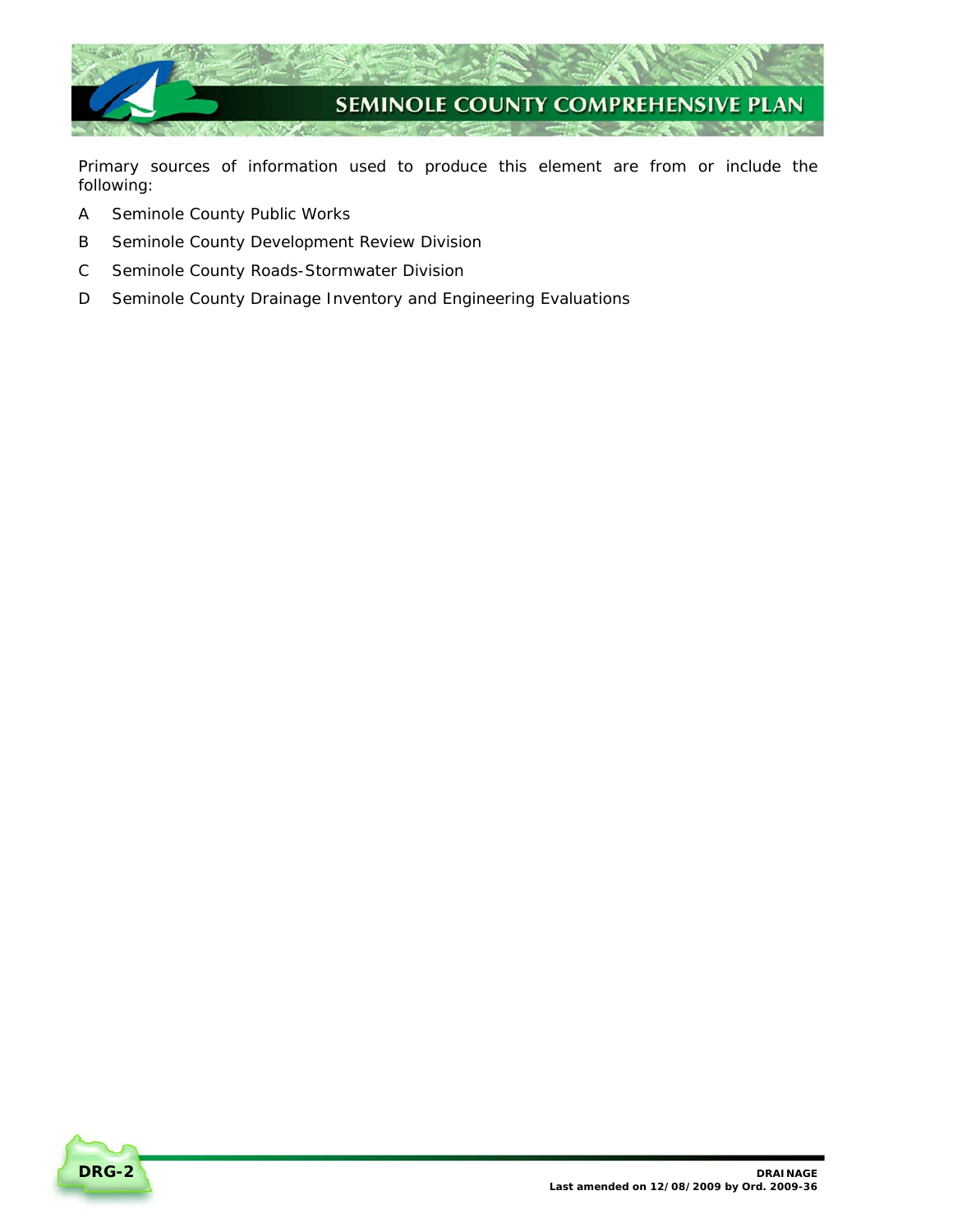

Primary sources of information used to produce this element are from or include the following:

- A Seminole County Public Works
- B Seminole County Development Review Division
- C Seminole County Roads-Stormwater Division
- D Seminole County Drainage Inventory and Engineering Evaluations

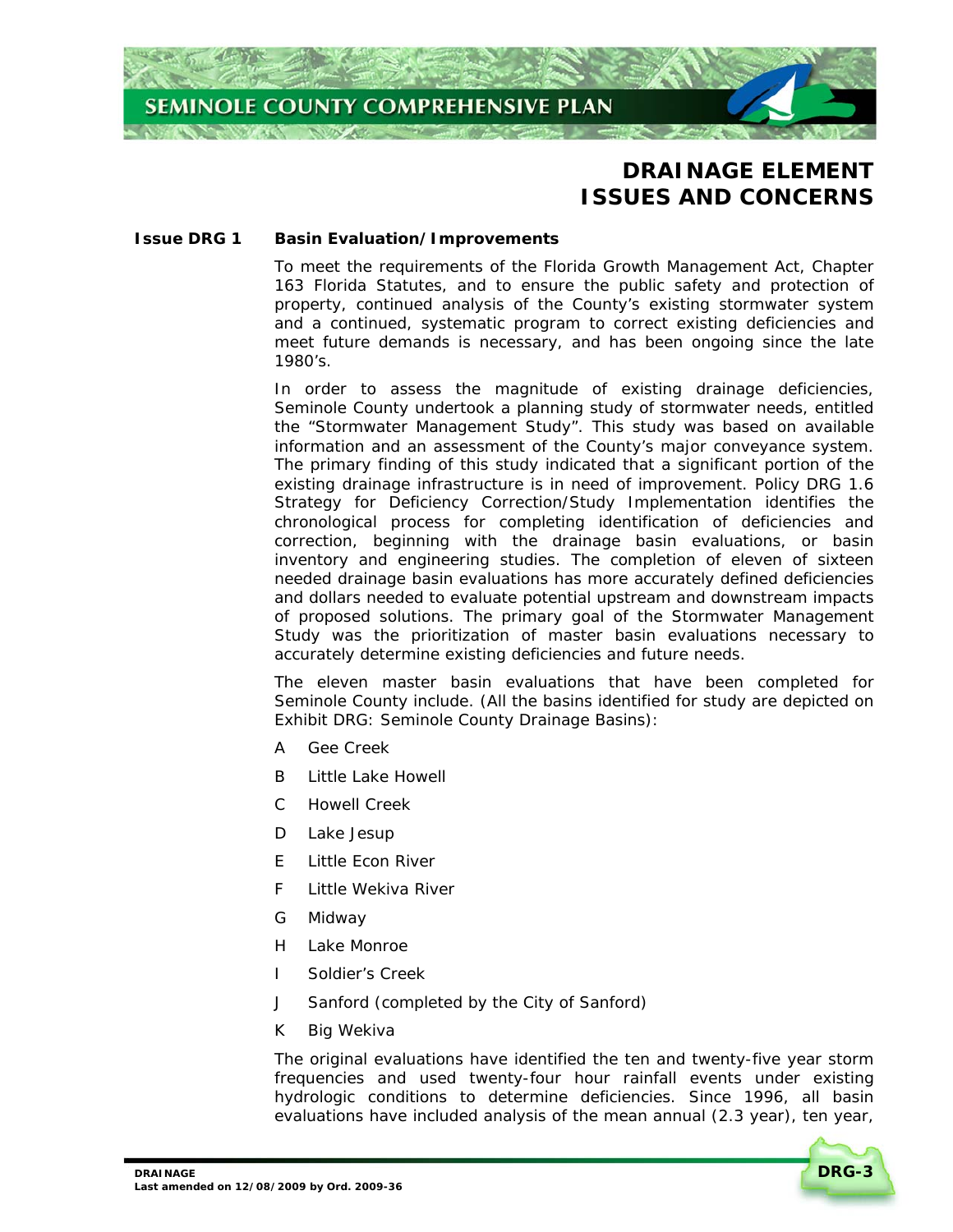

# **DRAINAGE ELEMENT ISSUES AND CONCERNS**

#### **Issue DRG 1 Basin Evaluation/Improvements**

To meet the requirements of the Florida Growth Management Act, Chapter 163 Florida Statutes, and to ensure the public safety and protection of property, continued analysis of the County's existing stormwater system and a continued, systematic program to correct existing deficiencies and meet future demands is necessary, and has been ongoing since the late 1980's.

In order to assess the magnitude of existing drainage deficiencies, Seminole County undertook a planning study of stormwater needs, entitled the "Stormwater Management Study". This study was based on available information and an assessment of the County's major conveyance system. The primary finding of this study indicated that a significant portion of the existing drainage infrastructure is in need of improvement*. Policy DRG 1.6 Strategy for Deficiency Correction/Study Implementation* identifies the chronological process for completing identification of deficiencies and correction, beginning with the drainage basin evaluations, or basin inventory and engineering studies. The completion of eleven of sixteen needed drainage basin evaluations has more accurately defined deficiencies and dollars needed to evaluate potential upstream and downstream impacts of proposed solutions. The primary goal of the Stormwater Management Study was the prioritization of master basin evaluations necessary to accurately determine existing deficiencies and future needs.

The eleven master basin evaluations that have been completed for Seminole County include. (All the basins identified for study are depicted on *Exhibit DRG: Seminole County Drainage Basins):* 

- A Gee Creek
- B Little Lake Howell
- C Howell Creek
- D Lake Jesup
- E Little Econ River
- F Little Wekiva River
- G Midway
- H Lake Monroe
- I Soldier's Creek
- J Sanford (completed by the City of Sanford)
- K Big Wekiva

The original evaluations have identified the ten and twenty-five year storm frequencies and used twenty-four hour rainfall events under existing hydrologic conditions to determine deficiencies. Since 1996, all basin evaluations have included analysis of the mean annual (2.3 year), ten year,

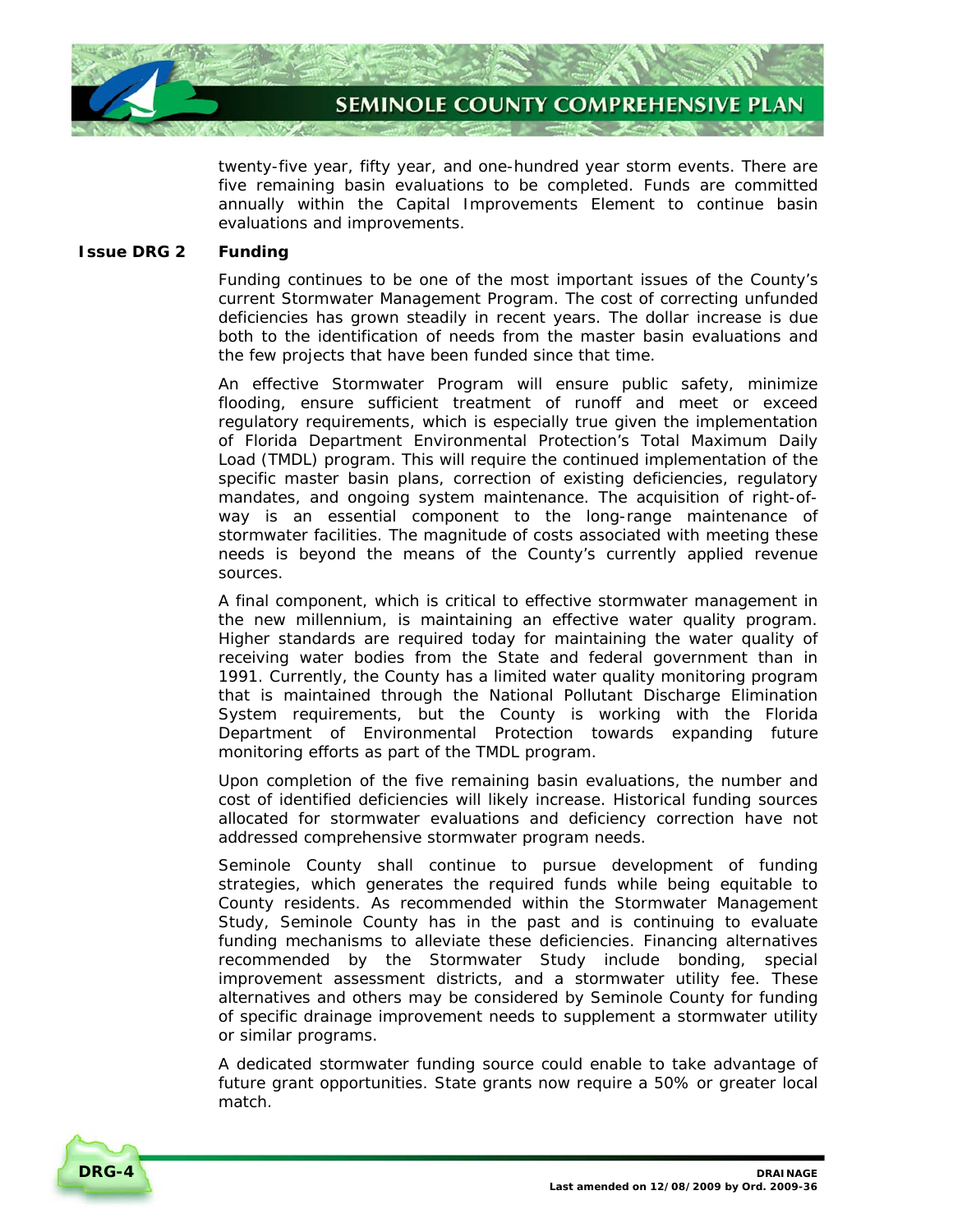

twenty-five year, fifty year, and one-hundred year storm events. There are five remaining basin evaluations to be completed. Funds are committed annually within the Capital Improvements Element to continue basin evaluations and improvements.

# **Issue DRG 2 Funding**

Funding continues to be one of the most important issues of the County's current Stormwater Management Program. The cost of correcting unfunded deficiencies has grown steadily in recent years. The dollar increase is due both to the identification of needs from the master basin evaluations and the few projects that have been funded since that time.

An effective Stormwater Program will ensure public safety, minimize flooding, ensure sufficient treatment of runoff and meet or exceed regulatory requirements, which is especially true given the implementation of Florida Department Environmental Protection's Total Maximum Daily Load (TMDL) program. This will require the continued implementation of the specific master basin plans, correction of existing deficiencies, regulatory mandates, and ongoing system maintenance. The acquisition of right-ofway is an essential component to the long-range maintenance of stormwater facilities. The magnitude of costs associated with meeting these needs is beyond the means of the County's currently applied revenue sources.

A final component, which is critical to effective stormwater management in the new millennium, is maintaining an effective water quality program. Higher standards are required today for maintaining the water quality of receiving water bodies from the State and federal government than in 1991. Currently, the County has a limited water quality monitoring program that is maintained through the National Pollutant Discharge Elimination System requirements, but the County is working with the Florida Department of Environmental Protection towards expanding future monitoring efforts as part of the TMDL program.

Upon completion of the five remaining basin evaluations, the number and cost of identified deficiencies will likely increase. Historical funding sources allocated for stormwater evaluations and deficiency correction have not addressed comprehensive stormwater program needs.

Seminole County shall continue to pursue development of funding strategies, which generates the required funds while being equitable to County residents. As recommended within the Stormwater Management Study, Seminole County has in the past and is continuing to evaluate funding mechanisms to alleviate these deficiencies. Financing alternatives recommended by the Stormwater Study include bonding, special improvement assessment districts, and a stormwater utility fee. These alternatives and others may be considered by Seminole County for funding of specific drainage improvement needs to supplement a stormwater utility or similar programs.

A dedicated stormwater funding source could enable to take advantage of future grant opportunities. State grants now require a 50% or greater local match.

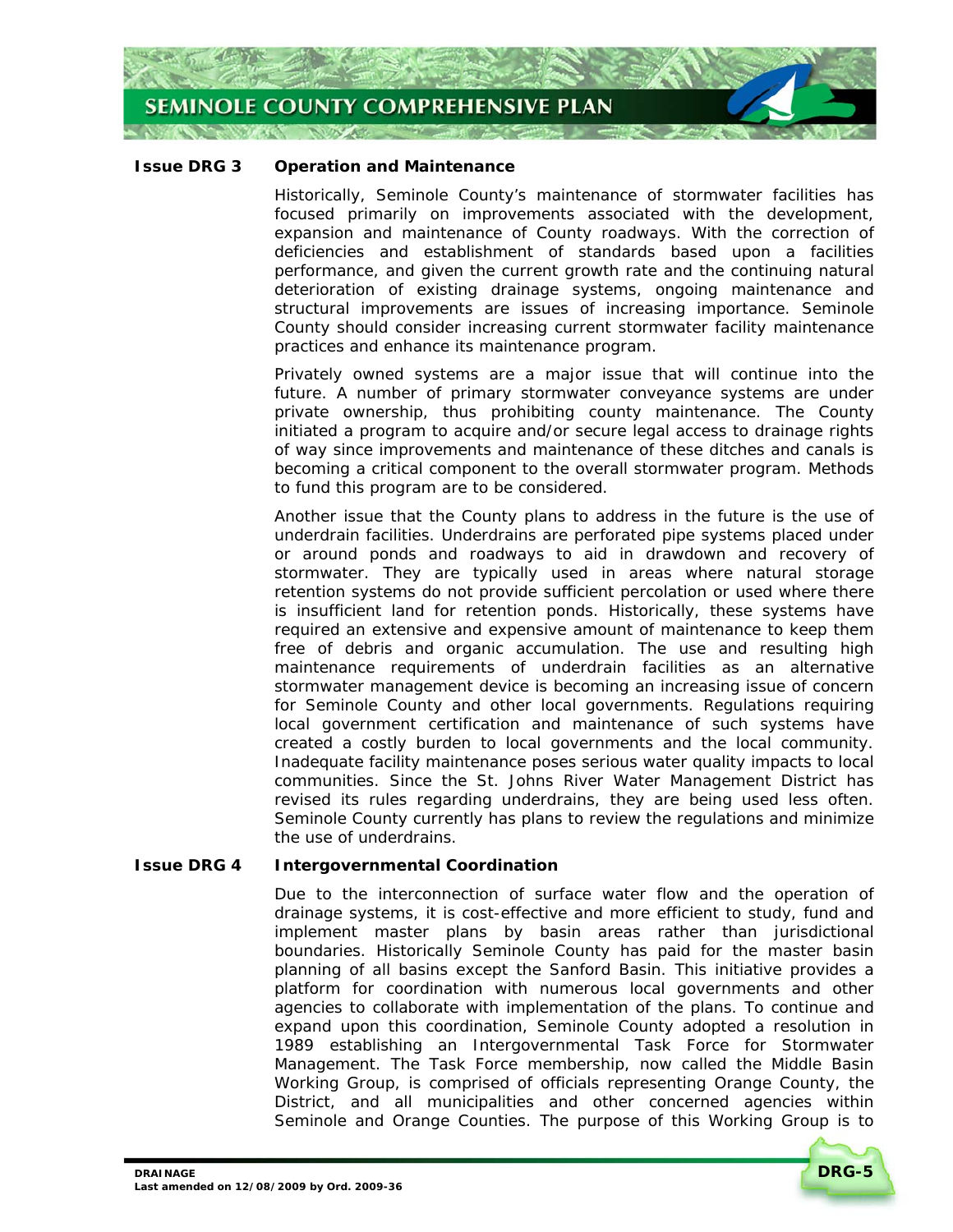

#### **Issue DRG 3 Operation and Maintenance**

Historically, Seminole County's maintenance of stormwater facilities has focused primarily on improvements associated with the development, expansion and maintenance of County roadways. With the correction of deficiencies and establishment of standards based upon a facilities performance, and given the current growth rate and the continuing natural deterioration of existing drainage systems, ongoing maintenance and structural improvements are issues of increasing importance. Seminole County should consider increasing current stormwater facility maintenance practices and enhance its maintenance program.

Privately owned systems are a major issue that will continue into the future. A number of primary stormwater conveyance systems are under private ownership, thus prohibiting county maintenance. The County initiated a program to acquire and/or secure legal access to drainage rights of way since improvements and maintenance of these ditches and canals is becoming a critical component to the overall stormwater program. Methods to fund this program are to be considered.

Another issue that the County plans to address in the future is the use of underdrain facilities. Underdrains are perforated pipe systems placed under or around ponds and roadways to aid in drawdown and recovery of stormwater. They are typically used in areas where natural storage retention systems do not provide sufficient percolation or used where there is insufficient land for retention ponds. Historically, these systems have required an extensive and expensive amount of maintenance to keep them free of debris and organic accumulation. The use and resulting high maintenance requirements of underdrain facilities as an alternative stormwater management device is becoming an increasing issue of concern for Seminole County and other local governments. Regulations requiring local government certification and maintenance of such systems have created a costly burden to local governments and the local community. Inadequate facility maintenance poses serious water quality impacts to local communities. Since the St. Johns River Water Management District has revised its rules regarding underdrains, they are being used less often. Seminole County currently has plans to review the regulations and minimize the use of underdrains.

#### **Issue DRG 4 Intergovernmental Coordination**

Due to the interconnection of surface water flow and the operation of drainage systems, it is cost-effective and more efficient to study, fund and implement master plans by basin areas rather than jurisdictional boundaries. Historically Seminole County has paid for the master basin planning of all basins except the Sanford Basin. This initiative provides a platform for coordination with numerous local governments and other agencies to collaborate with implementation of the plans. To continue and expand upon this coordination, Seminole County adopted a resolution in 1989 establishing an Intergovernmental Task Force for Stormwater Management. The Task Force membership, now called the Middle Basin Working Group, is comprised of officials representing Orange County, the District, and all municipalities and other concerned agencies within Seminole and Orange Counties. The purpose of this Working Group is to

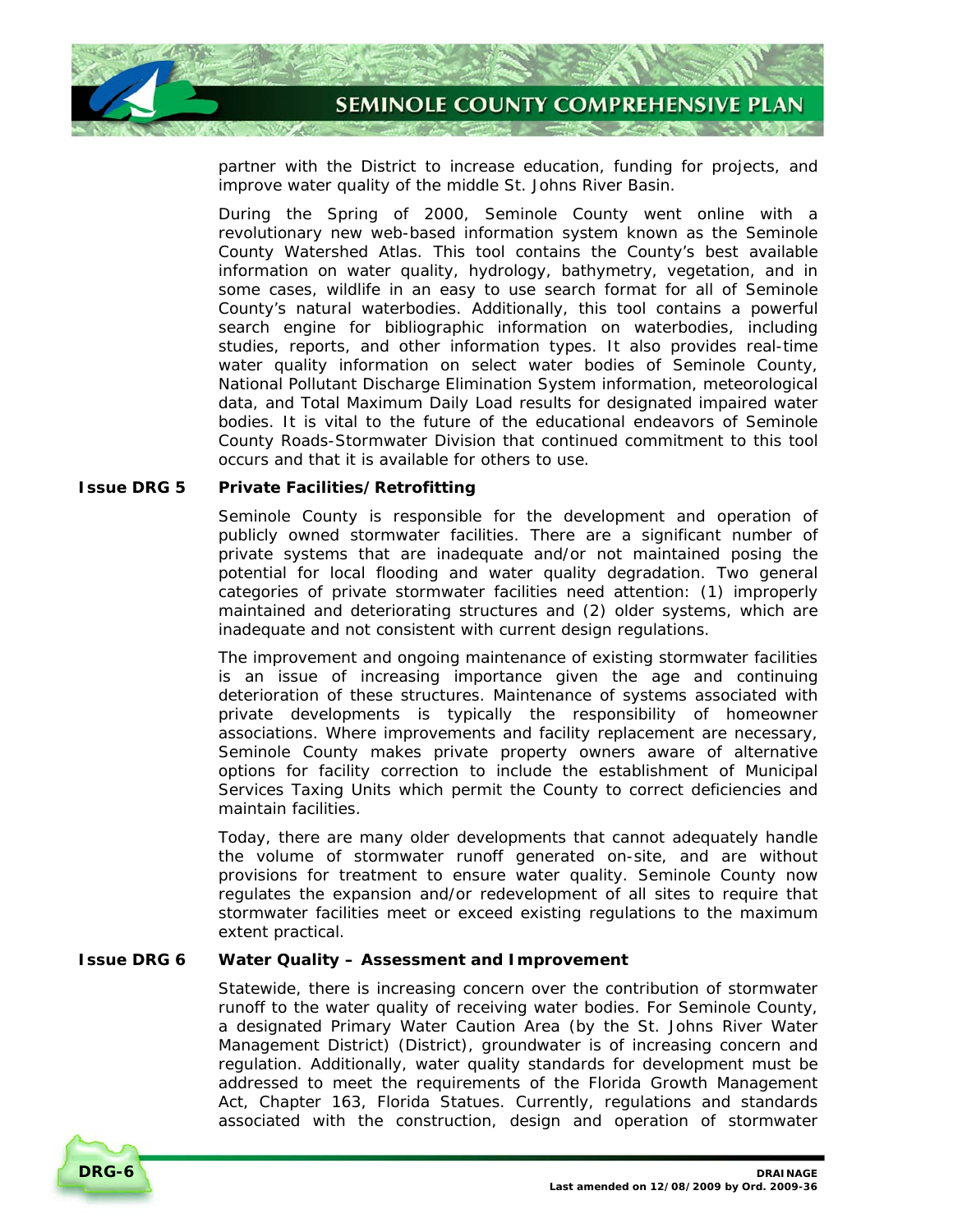

partner with the District to increase education, funding for projects, and improve water quality of the middle St. Johns River Basin.

During the Spring of 2000, Seminole County went online with a revolutionary new web-based information system known as the Seminole County Watershed Atlas. This tool contains the County's best available information on water quality, hydrology, bathymetry, vegetation, and in some cases, wildlife in an easy to use search format for all of Seminole County's natural waterbodies. Additionally, this tool contains a powerful search engine for bibliographic information on waterbodies, including studies, reports, and other information types. It also provides real-time water quality information on select water bodies of Seminole County, National Pollutant Discharge Elimination System information, meteorological data, and Total Maximum Daily Load results for designated impaired water bodies. It is vital to the future of the educational endeavors of Seminole County Roads-Stormwater Division that continued commitment to this tool occurs and that it is available for others to use.

#### **Issue DRG 5 Private Facilities/Retrofitting**

Seminole County is responsible for the development and operation of publicly owned stormwater facilities. There are a significant number of private systems that are inadequate and/or not maintained posing the potential for local flooding and water quality degradation. Two general categories of private stormwater facilities need attention: (1) improperly maintained and deteriorating structures and (2) older systems, which are inadequate and not consistent with current design regulations.

The improvement and ongoing maintenance of existing stormwater facilities is an issue of increasing importance given the age and continuing deterioration of these structures. Maintenance of systems associated with private developments is typically the responsibility of homeowner associations. Where improvements and facility replacement are necessary, Seminole County makes private property owners aware of alternative options for facility correction to include the establishment of Municipal Services Taxing Units which permit the County to correct deficiencies and maintain facilities.

Today, there are many older developments that cannot adequately handle the volume of stormwater runoff generated on-site, and are without provisions for treatment to ensure water quality. Seminole County now regulates the expansion and/or redevelopment of all sites to require that stormwater facilities meet or exceed existing regulations to the maximum extent practical.

#### **Issue DRG 6 Water Quality – Assessment and Improvement**

Statewide, there is increasing concern over the contribution of stormwater runoff to the water quality of receiving water bodies. For Seminole County, a designated Primary Water Caution Area (by the St. Johns River Water Management District) (District), groundwater is of increasing concern and regulation. Additionally, water quality standards for development must be addressed to meet the requirements of the Florida Growth Management Act, Chapter 163, Florida Statues. Currently, regulations and standards associated with the construction, design and operation of stormwater

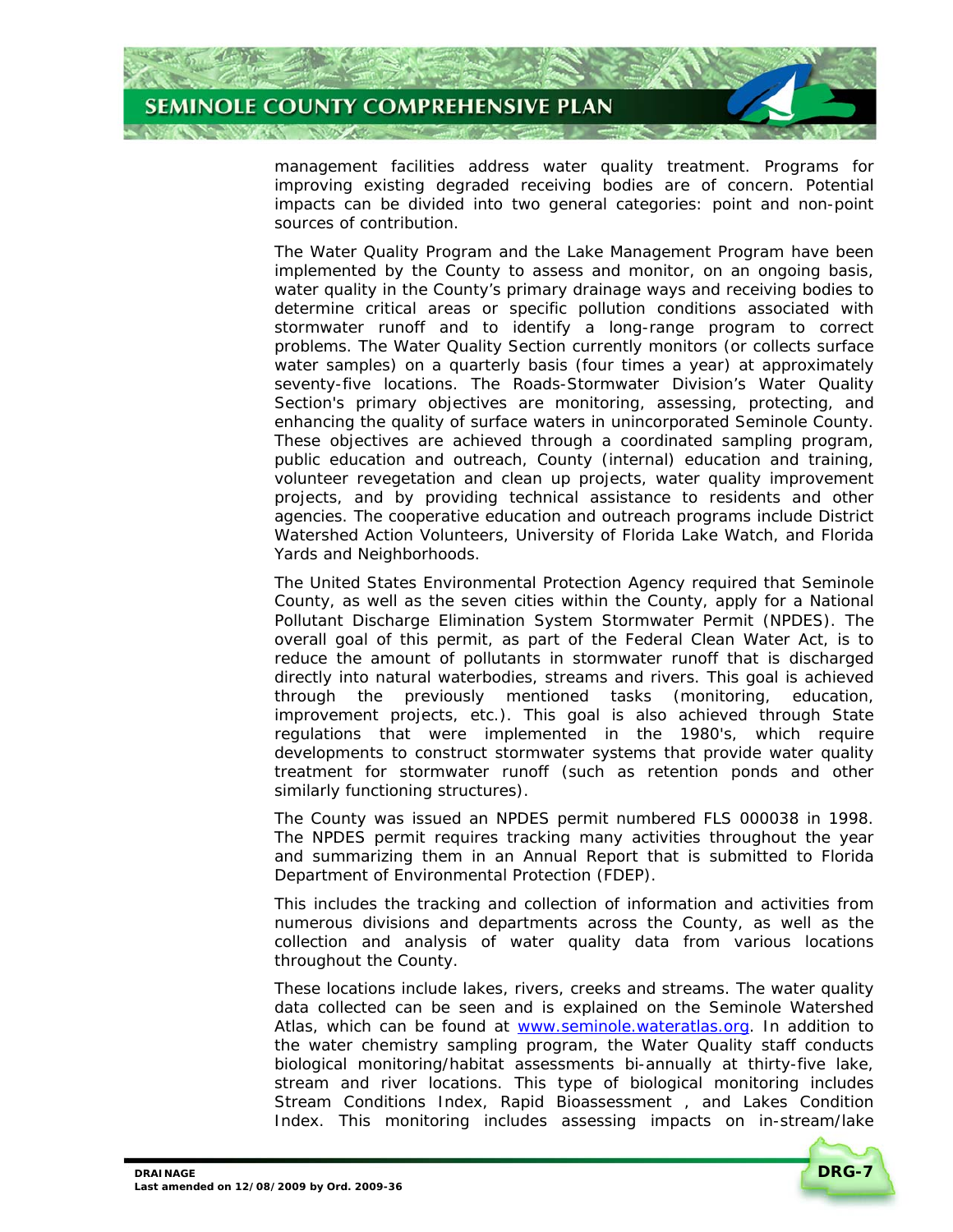

management facilities address water quality treatment. Programs for improving existing degraded receiving bodies are of concern. Potential impacts can be divided into two general categories: point and non-point sources of contribution.

The Water Quality Program and the Lake Management Program have been implemented by the County to assess and monitor, on an ongoing basis, water quality in the County's primary drainage ways and receiving bodies to determine critical areas or specific pollution conditions associated with stormwater runoff and to identify a long-range program to correct problems. The Water Quality Section currently monitors (or collects surface water samples) on a quarterly basis (four times a year) at approximately seventy-five locations. The Roads-Stormwater Division's Water Quality Section's primary objectives are monitoring, assessing, protecting, and enhancing the quality of surface waters in unincorporated Seminole County. These objectives are achieved through a coordinated sampling program, public education and outreach, County (internal) education and training, volunteer revegetation and clean up projects, water quality improvement projects, and by providing technical assistance to residents and other agencies. The cooperative education and outreach programs include District Watershed Action Volunteers, University of Florida Lake Watch, and Florida Yards and Neighborhoods.

The United States Environmental Protection Agency required that Seminole County, as well as the seven cities within the County, apply for a National Pollutant Discharge Elimination System Stormwater Permit (NPDES). The overall goal of this permit, as part of the Federal Clean Water Act, is to reduce the amount of pollutants in stormwater runoff that is discharged directly into natural waterbodies, streams and rivers. This goal is achieved through the previously mentioned tasks (monitoring, education, improvement projects, etc.). This goal is also achieved through State regulations that were implemented in the 1980's, which require developments to construct stormwater systems that provide water quality treatment for stormwater runoff (such as retention ponds and other similarly functioning structures).

The County was issued an NPDES permit numbered FLS 000038 in 1998. The NPDES permit requires tracking many activities throughout the year and summarizing them in an Annual Report that is submitted to Florida Department of Environmental Protection (FDEP).

This includes the tracking and collection of information and activities from numerous divisions and departments across the County, as well as the collection and analysis of water quality data from various locations throughout the County.

These locations include lakes, rivers, creeks and streams. The water quality data collected can be seen and is explained on the Seminole Watershed Atlas, which can be found at www.seminole.wateratlas.org. In addition to the water chemistry sampling program, the Water Quality staff conducts biological monitoring/habitat assessments bi-annually at thirty-five lake, stream and river locations. This type of biological monitoring includes Stream Conditions Index, Rapid Bioassessment , and Lakes Condition Index. This monitoring includes assessing impacts on in-stream/lake

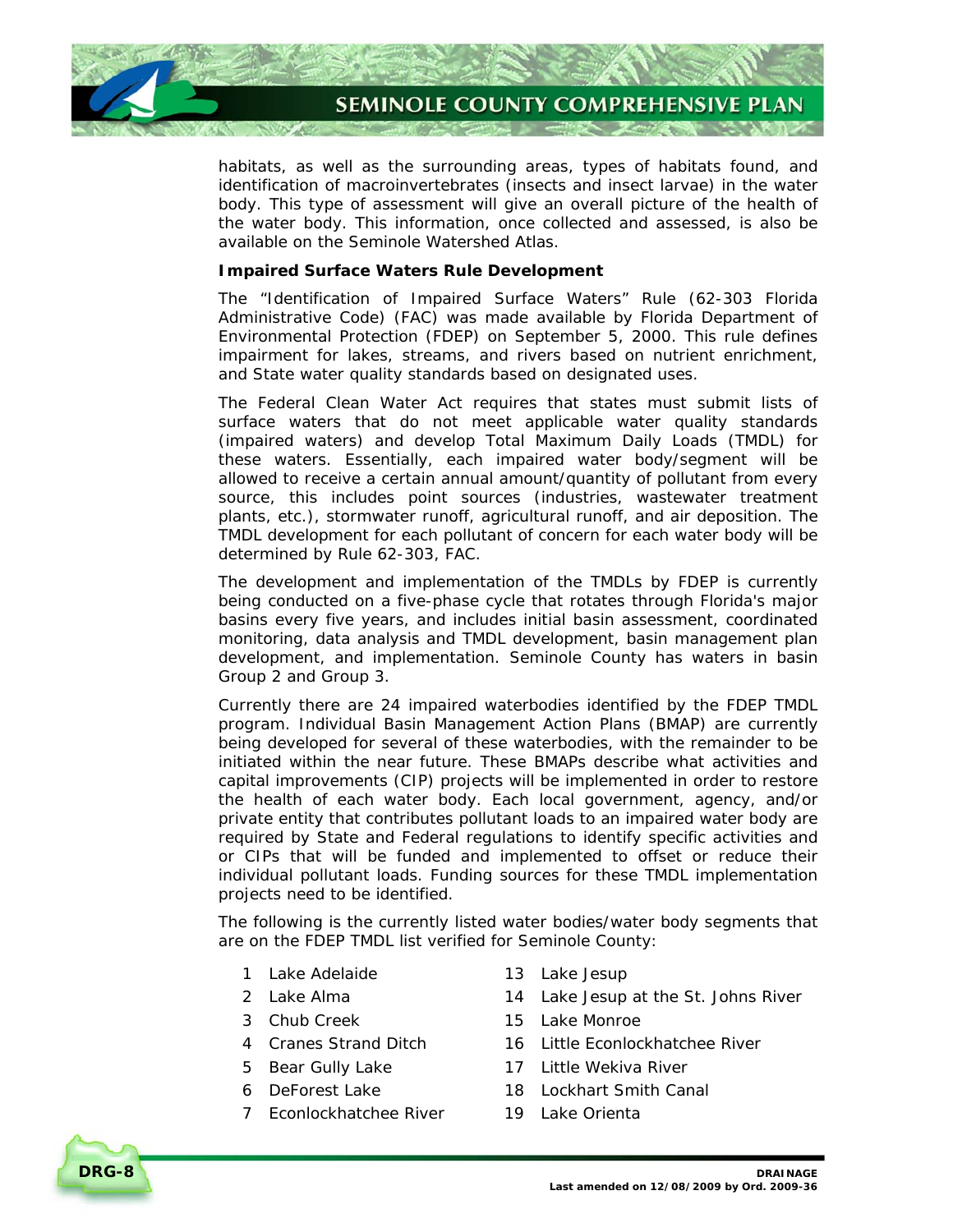

habitats, as well as the surrounding areas, types of habitats found, and identification of macroinvertebrates (insects and insect larvae) in the water body. This type of assessment will give an overall picture of the health of the water body. This information, once collected and assessed, is also be available on the Seminole Watershed Atlas.

#### **Impaired Surface Waters Rule Development**

The "Identification of Impaired Surface Waters" Rule (62-303 Florida Administrative Code) (FAC) was made available by Florida Department of Environmental Protection (FDEP) on September 5, 2000. This rule defines impairment for lakes, streams, and rivers based on nutrient enrichment, and State water quality standards based on designated uses.

The Federal Clean Water Act requires that states must submit lists of surface waters that do not meet applicable water quality standards (impaired waters) and develop Total Maximum Daily Loads (TMDL) for these waters. Essentially, each impaired water body/segment will be allowed to receive a certain annual amount/quantity of pollutant from every source, this includes point sources (industries, wastewater treatment plants, etc.), stormwater runoff, agricultural runoff, and air deposition. The TMDL development for each pollutant of concern for each water body will be determined by Rule 62-303, FAC.

The development and implementation of the TMDLs by FDEP is currently being conducted on a five-phase cycle that rotates through Florida's major basins every five years, and includes initial basin assessment, coordinated monitoring, data analysis and TMDL development, basin management plan development, and implementation. Seminole County has waters in basin Group 2 and Group 3.

Currently there are 24 impaired waterbodies identified by the FDEP TMDL program. Individual Basin Management Action Plans (BMAP) are currently being developed for several of these waterbodies, with the remainder to be initiated within the near future. These BMAPs describe what activities and capital improvements (CIP) projects will be implemented in order to restore the health of each water body. Each local government, agency, and/or private entity that contributes pollutant loads to an impaired water body are required by State and Federal regulations to identify specific activities and or CIPs that will be funded and implemented to offset or reduce their individual pollutant loads. Funding sources for these TMDL implementation projects need to be identified.

The following is the currently listed water bodies/water body segments that are on the FDEP TMDL list verified for Seminole County:

- 1 Lake Adelaide 13 Lake Jesup
- 
- 
- 
- 
- 
- 7 Econlockhatchee River 19 Lake Orienta
- 
- 2 Lake Alma 14 Lake Jesup at the St. Johns River
- 3 Chub Creek 15 Lake Monroe
- 4 Cranes Strand Ditch 16 Little Econlockhatchee River
- 5 Bear Gully Lake 17 Little Wekiva River
- 6 DeForest Lake 18 Lockhart Smith Canal
	-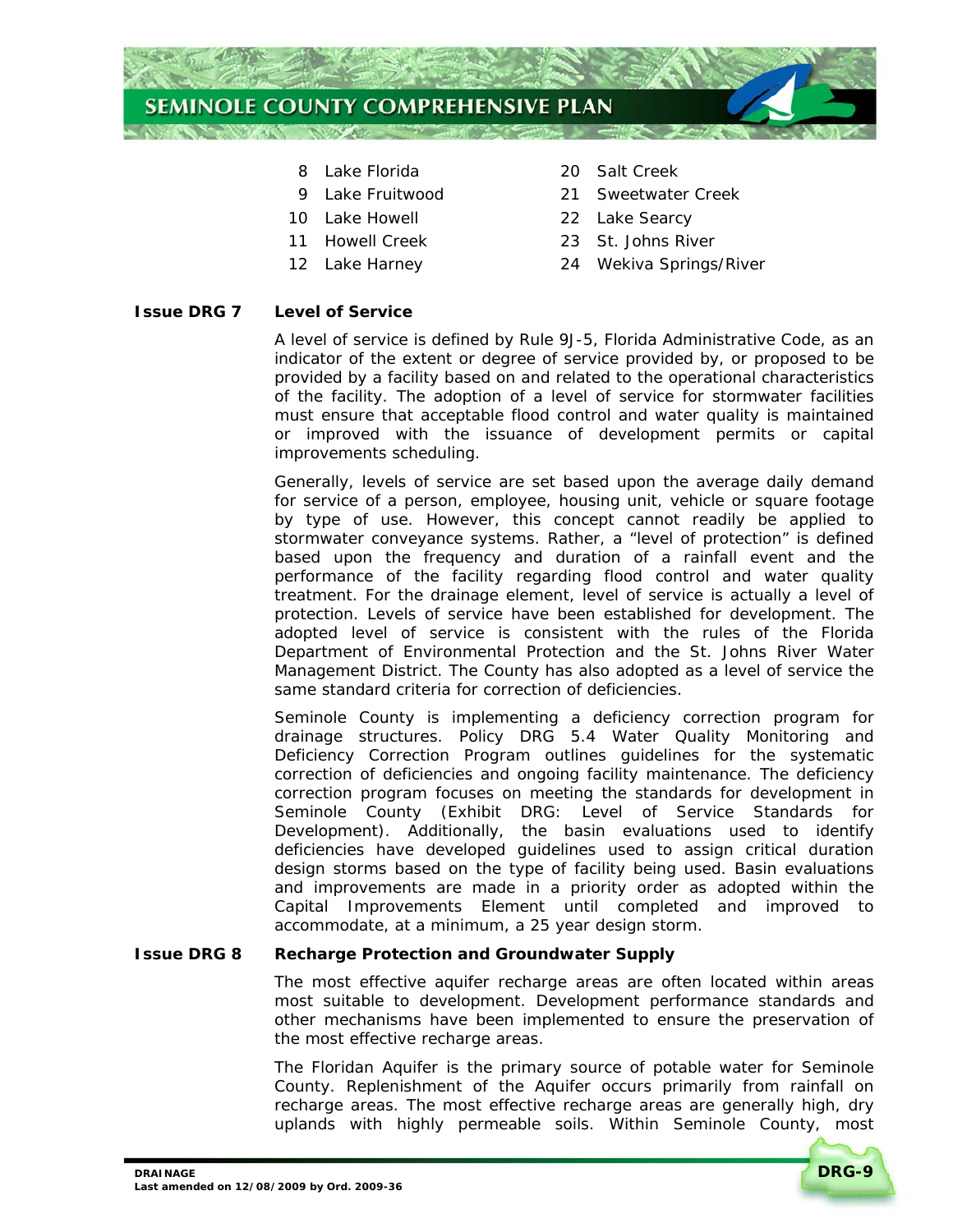

- 
- 
- 
- 
- 
- 8 Lake Florida 20 Salt Creek
- 9 Lake Fruitwood 21 Sweetwater Creek
- 10 Lake Howell 22 Lake Searcy
- 11 Howell Creek 23 St. Johns River
- 12 Lake Harney 24 Wekiva Springs/River

# **Issue DRG 7 Level of Service**

A level of service is defined by Rule 9J-5, Florida Administrative Code, as an indicator of the extent or degree of service provided by, or proposed to be provided by a facility based on and related to the operational characteristics of the facility. The adoption of a level of service for stormwater facilities must ensure that acceptable flood control and water quality is maintained or improved with the issuance of development permits or capital improvements scheduling.

Generally, levels of service are set based upon the average daily demand for service of a person, employee, housing unit, vehicle or square footage by type of use. However, this concept cannot readily be applied to stormwater conveyance systems. Rather, a "level of protection" is defined based upon the frequency and duration of a rainfall event and the performance of the facility regarding flood control and water quality treatment. For the drainage element, level of service is actually a level of protection. Levels of service have been established for development. The adopted level of service is consistent with the rules of the Florida Department of Environmental Protection and the St. Johns River Water Management District. The County has also adopted as a level of service the same standard criteria for correction of deficiencies.

Seminole County is implementing a deficiency correction program for drainage structures. *Policy DRG 5.4 Water Quality Monitoring and Deficiency Correction Program* outlines guidelines for the systematic correction of deficiencies and ongoing facility maintenance. The deficiency correction program focuses on meeting the standards for development in Seminole County (*Exhibit DRG: Level of Service Standards for Development*). Additionally, the basin evaluations used to identify deficiencies have developed guidelines used to assign critical duration design storms based on the type of facility being used. Basin evaluations and improvements are made in a priority order as adopted within the Capital Improvements Element until completed and improved to accommodate, at a minimum, a 25 year design storm.

# **Issue DRG 8 Recharge Protection and Groundwater Supply**

The most effective aquifer recharge areas are often located within areas most suitable to development. Development performance standards and other mechanisms have been implemented to ensure the preservation of the most effective recharge areas.

The Floridan Aquifer is the primary source of potable water for Seminole County. Replenishment of the Aquifer occurs primarily from rainfall on recharge areas. The most effective recharge areas are generally high, dry uplands with highly permeable soils. Within Seminole County, most

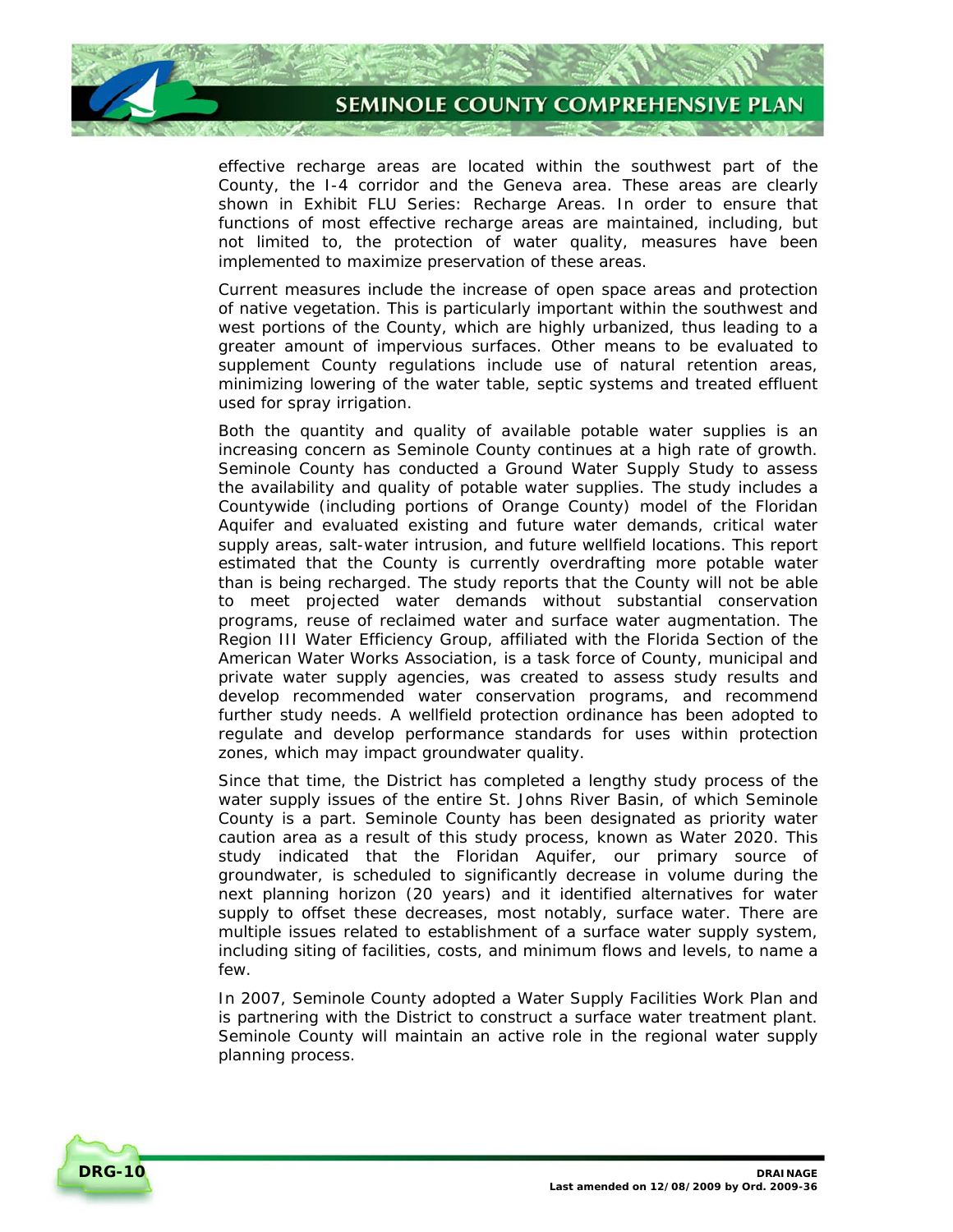

effective recharge areas are located within the southwest part of the County, the I-4 corridor and the Geneva area. These areas are clearly shown in *Exhibit FLU Series: Recharge Areas*. In order to ensure that functions of most effective recharge areas are maintained, including, but not limited to, the protection of water quality, measures have been implemented to maximize preservation of these areas.

Current measures include the increase of open space areas and protection of native vegetation. This is particularly important within the southwest and west portions of the County, which are highly urbanized, thus leading to a greater amount of impervious surfaces. Other means to be evaluated to supplement County regulations include use of natural retention areas, minimizing lowering of the water table, septic systems and treated effluent used for spray irrigation.

Both the quantity and quality of available potable water supplies is an increasing concern as Seminole County continues at a high rate of growth. Seminole County has conducted a Ground Water Supply Study to assess the availability and quality of potable water supplies. The study includes a Countywide (including portions of Orange County) model of the Floridan Aquifer and evaluated existing and future water demands, critical water supply areas, salt-water intrusion, and future wellfield locations. This report estimated that the County is currently overdrafting more potable water than is being recharged. The study reports that the County will not be able to meet projected water demands without substantial conservation programs, reuse of reclaimed water and surface water augmentation. The Region III Water Efficiency Group, affiliated with the Florida Section of the American Water Works Association, is a task force of County, municipal and private water supply agencies, was created to assess study results and develop recommended water conservation programs, and recommend further study needs. A wellfield protection ordinance has been adopted to regulate and develop performance standards for uses within protection zones, which may impact groundwater quality.

Since that time, the District has completed a lengthy study process of the water supply issues of the entire St. Johns River Basin, of which Seminole County is a part. Seminole County has been designated as priority water caution area as a result of this study process, known as Water 2020. This study indicated that the Floridan Aquifer, our primary source of groundwater, is scheduled to significantly decrease in volume during the next planning horizon (20 years) and it identified alternatives for water supply to offset these decreases, most notably, surface water. There are multiple issues related to establishment of a surface water supply system, including siting of facilities, costs, and minimum flows and levels, to name a few.

In 2007, Seminole County adopted a Water Supply Facilities Work Plan and is partnering with the District to construct a surface water treatment plant. Seminole County will maintain an active role in the regional water supply planning process.

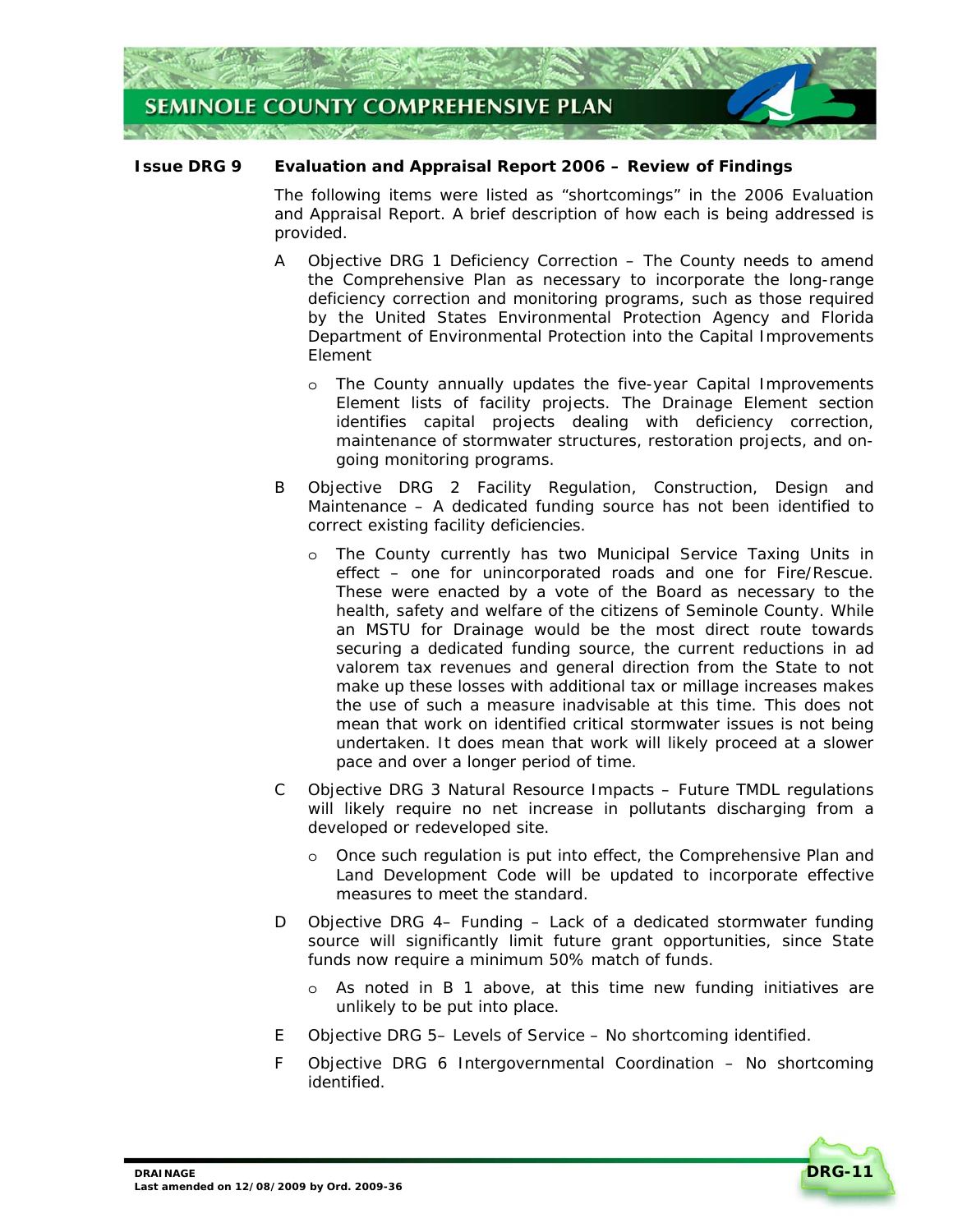

# **Issue DRG 9 Evaluation and Appraisal Report 2006 – Review of Findings**

The following items were listed as "shortcomings" in the 2006 Evaluation and Appraisal Report. A brief description of how each is being addressed is provided.

- A *Objective DRG 1 Deficiency Correction* The County needs to amend the Comprehensive Plan as necessary to incorporate the long-range deficiency correction and monitoring programs, such as those required by the United States Environmental Protection Agency and Florida Department of Environmental Protection into the Capital Improvements Element
	- o *The County annually updates the five-year Capital Improvements Element lists of facility projects. The Drainage Element section identifies capital projects dealing with deficiency correction, maintenance of stormwater structures, restoration projects, and ongoing monitoring programs.*
- B *Objective DRG 2 Facility Regulation, Construction, Design and Maintenance* – A dedicated funding source has not been identified to correct existing facility deficiencies.
	- o *The County currently has two Municipal Service Taxing Units in effect – one for unincorporated roads and one for Fire/Rescue. These were enacted by a vote of the Board as necessary to the health, safety and welfare of the citizens of Seminole County. While an MSTU for Drainage would be the most direct route towards securing a dedicated funding source, the current reductions in ad valorem tax revenues and general direction from the State to not make up these losses with additional tax or millage increases makes the use of such a measure inadvisable at this time. This does not mean that work on identified critical stormwater issues is not being undertaken. It does mean that work will likely proceed at a slower pace and over a longer period of time.*
- C *Objective DRG 3 Natural Resource Impacts* Future TMDL regulations will likely require no net increase in pollutants discharging from a developed or redeveloped site.
	- o *Once such regulation is put into effect, the Comprehensive Plan and Land Development Code will be updated to incorporate effective measures to meet the standard.*
- D *Objective DRG 4– Funding* Lack of a dedicated stormwater funding source will significantly limit future grant opportunities, since State funds now require a minimum 50% match of funds.
	- o *As noted in B 1 above, at this time new funding initiatives are unlikely to be put into place.*
- E *Objective DRG 5– Levels of Service* No shortcoming identified.
- F *Objective DRG 6 Intergovernmental Coordination* No shortcoming identified.

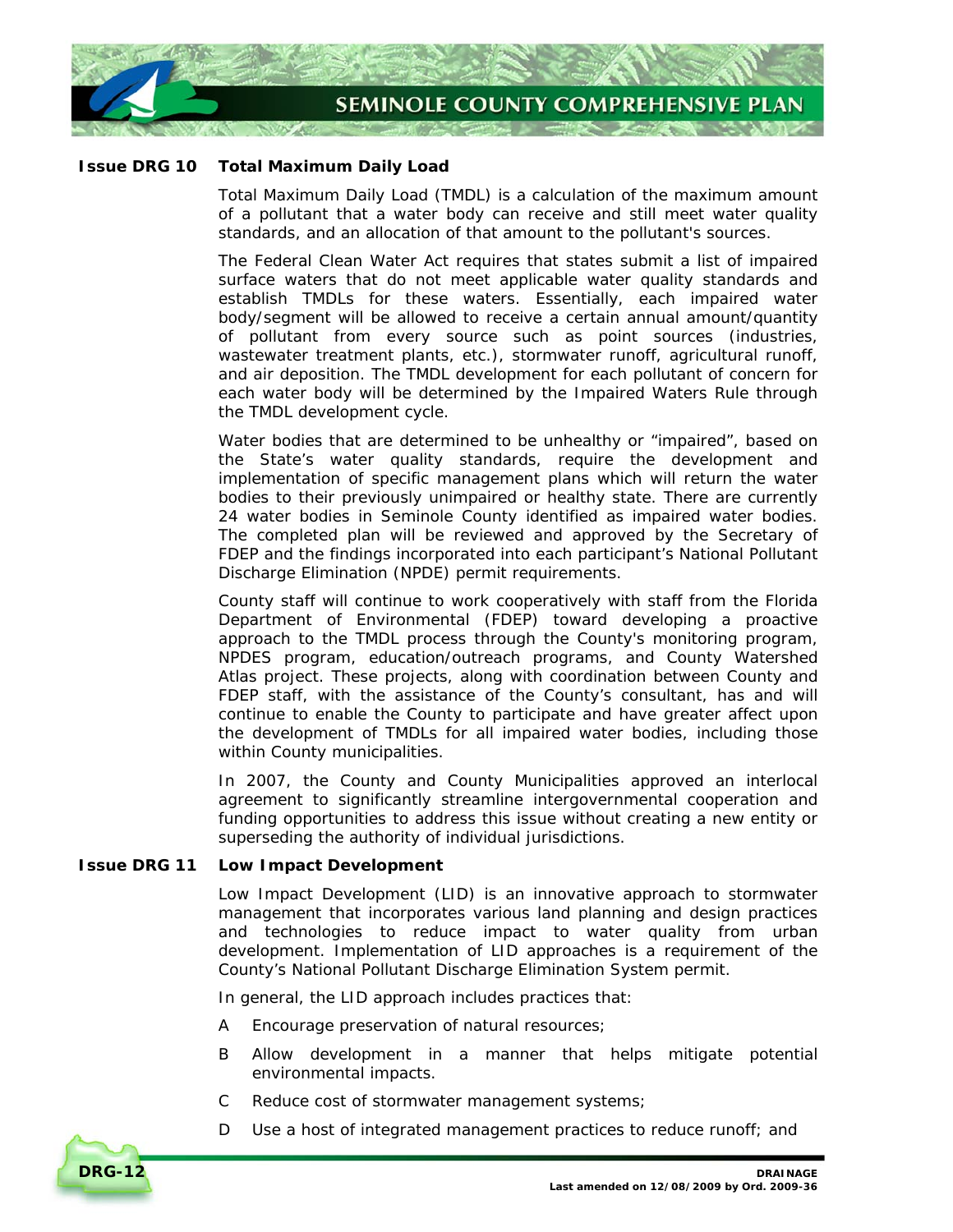

# **Issue DRG 10 Total Maximum Daily Load**

Total Maximum Daily Load (TMDL) is a calculation of the maximum amount of a pollutant that a water body can receive and still meet water quality standards, and an allocation of that amount to the pollutant's sources.

The Federal Clean Water Act requires that states submit a list of impaired surface waters that do not meet applicable water quality standards and establish TMDLs for these waters. Essentially, each impaired water body/segment will be allowed to receive a certain annual amount/quantity of pollutant from every source such as point sources (industries, wastewater treatment plants, etc.), stormwater runoff, agricultural runoff, and air deposition. The TMDL development for each pollutant of concern for each water body will be determined by the Impaired Waters Rule through the TMDL development cycle.

Water bodies that are determined to be unhealthy or "impaired", based on the State's water quality standards, require the development and implementation of specific management plans which will return the water bodies to their previously unimpaired or healthy state. There are currently 24 water bodies in Seminole County identified as impaired water bodies. The completed plan will be reviewed and approved by the Secretary of FDEP and the findings incorporated into each participant's National Pollutant Discharge Elimination (NPDE) permit requirements.

County staff will continue to work cooperatively with staff from the Florida Department of Environmental (FDEP) toward developing a proactive approach to the TMDL process through the County's monitoring program, NPDES program, education/outreach programs, and County Watershed Atlas project. These projects, along with coordination between County and FDEP staff, with the assistance of the County's consultant, has and will continue to enable the County to participate and have greater affect upon the development of TMDLs for all impaired water bodies, including those within County municipalities.

In 2007, the County and County Municipalities approved an interlocal agreement to significantly streamline intergovernmental cooperation and funding opportunities to address this issue without creating a new entity or superseding the authority of individual jurisdictions.

# **Issue DRG 11 Low Impact Development**

Low Impact Development (LID) is an innovative approach to stormwater management that incorporates various land planning and design practices and technologies to reduce impact to water quality from urban development. Implementation of LID approaches is a requirement of the County's National Pollutant Discharge Elimination System permit.

In general, the LID approach includes practices that:

- A Encourage preservation of natural resources;
- B Allow development in a manner that helps mitigate potential environmental impacts.
- C Reduce cost of stormwater management systems;
- D Use a host of integrated management practices to reduce runoff; and

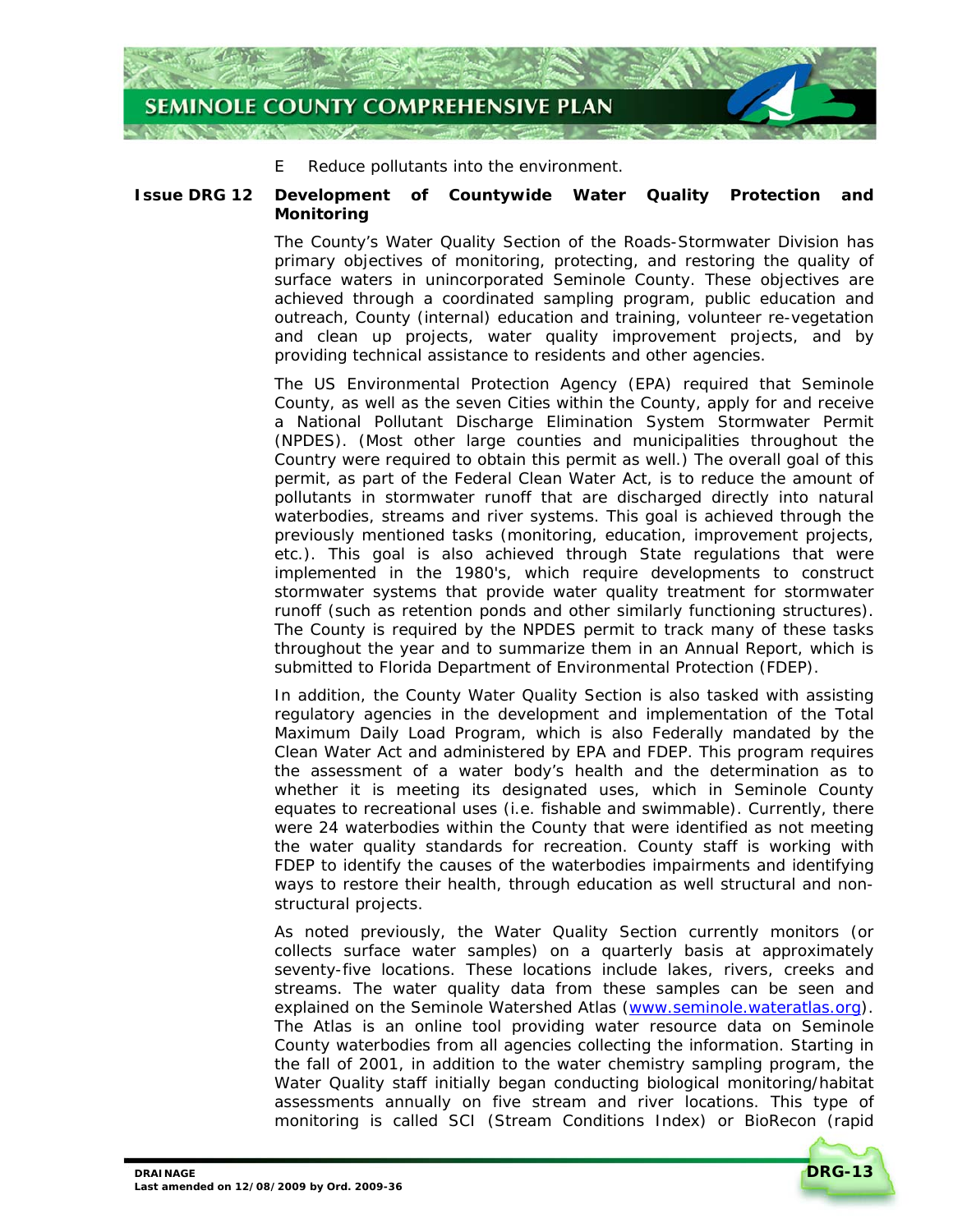

E Reduce pollutants into the environment.

# **Issue DRG 12 Development of Countywide Water Quality Protection and Monitoring**

The County's Water Quality Section of the Roads-Stormwater Division has primary objectives of monitoring, protecting, and restoring the quality of surface waters in unincorporated Seminole County. These objectives are achieved through a coordinated sampling program, public education and outreach, County (internal) education and training, volunteer re-vegetation and clean up projects, water quality improvement projects, and by providing technical assistance to residents and other agencies.

The US Environmental Protection Agency (EPA) required that Seminole County, as well as the seven Cities within the County, apply for and receive a National Pollutant Discharge Elimination System Stormwater Permit (NPDES). (Most other large counties and municipalities throughout the Country were required to obtain this permit as well.) The overall goal of this permit, as part of the Federal Clean Water Act, is to reduce the amount of pollutants in stormwater runoff that are discharged directly into natural waterbodies, streams and river systems. This goal is achieved through the previously mentioned tasks (monitoring, education, improvement projects, etc.). This goal is also achieved through State regulations that were implemented in the 1980's, which require developments to construct stormwater systems that provide water quality treatment for stormwater runoff (such as retention ponds and other similarly functioning structures). The County is required by the NPDES permit to track many of these tasks throughout the year and to summarize them in an Annual Report, which is submitted to Florida Department of Environmental Protection (FDEP).

In addition, the County Water Quality Section is also tasked with assisting regulatory agencies in the development and implementation of the Total Maximum Daily Load Program, which is also Federally mandated by the Clean Water Act and administered by EPA and FDEP. This program requires the assessment of a water body's health and the determination as to whether it is meeting its designated uses, which in Seminole County equates to recreational uses (i.e. fishable and swimmable). Currently, there were 24 waterbodies within the County that were identified as not meeting the water quality standards for recreation. County staff is working with FDEP to identify the causes of the waterbodies impairments and identifying ways to restore their health, through education as well structural and nonstructural projects.

As noted previously, the Water Quality Section currently monitors (or collects surface water samples) on a quarterly basis at approximately seventy-five locations. These locations include lakes, rivers, creeks and streams. The water quality data from these samples can be seen and explained on the Seminole Watershed Atlas (www.seminole.wateratlas.org). The Atlas is an online tool providing water resource data on Seminole County waterbodies from all agencies collecting the information. Starting in the fall of 2001, in addition to the water chemistry sampling program, the Water Quality staff initially began conducting biological monitoring/habitat assessments annually on five stream and river locations. This type of monitoring is called SCI (Stream Conditions Index) or BioRecon (rapid

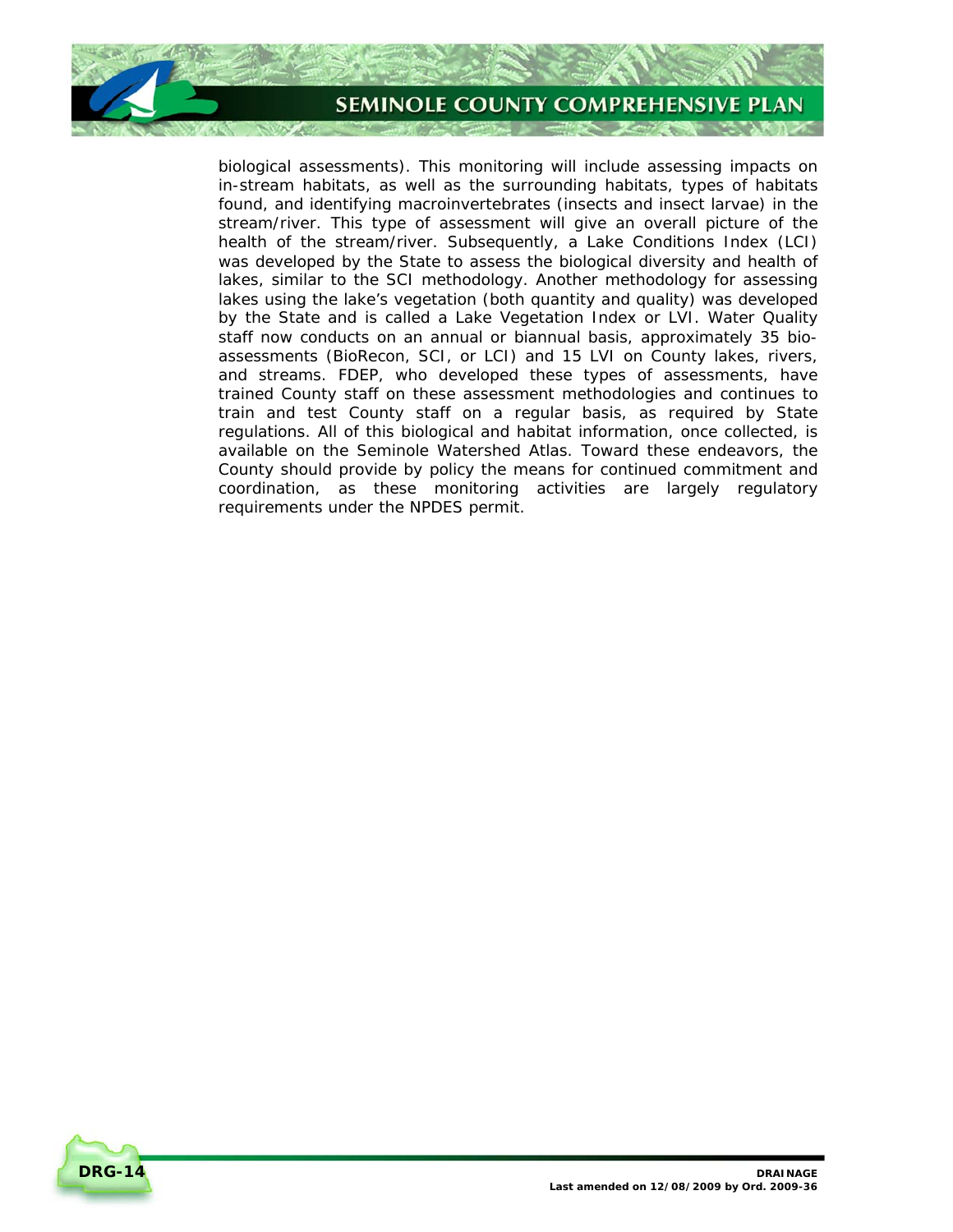

biological assessments). This monitoring will include assessing impacts on in-stream habitats, as well as the surrounding habitats, types of habitats found, and identifying macroinvertebrates (insects and insect larvae) in the stream/river. This type of assessment will give an overall picture of the health of the stream/river. Subsequently, a Lake Conditions Index (LCI) was developed by the State to assess the biological diversity and health of lakes, similar to the SCI methodology. Another methodology for assessing lakes using the lake's vegetation (both quantity and quality) was developed by the State and is called a Lake Vegetation Index or LVI. Water Quality staff now conducts on an annual or biannual basis, approximately 35 bioassessments (BioRecon, SCI, or LCI) and 15 LVI on County lakes, rivers, and streams. FDEP, who developed these types of assessments, have trained County staff on these assessment methodologies and continues to train and test County staff on a regular basis, as required by State regulations. All of this biological and habitat information, once collected, is available on the Seminole Watershed Atlas. Toward these endeavors, the County should provide by policy the means for continued commitment and coordination, as these monitoring activities are largely regulatory requirements under the NPDES permit.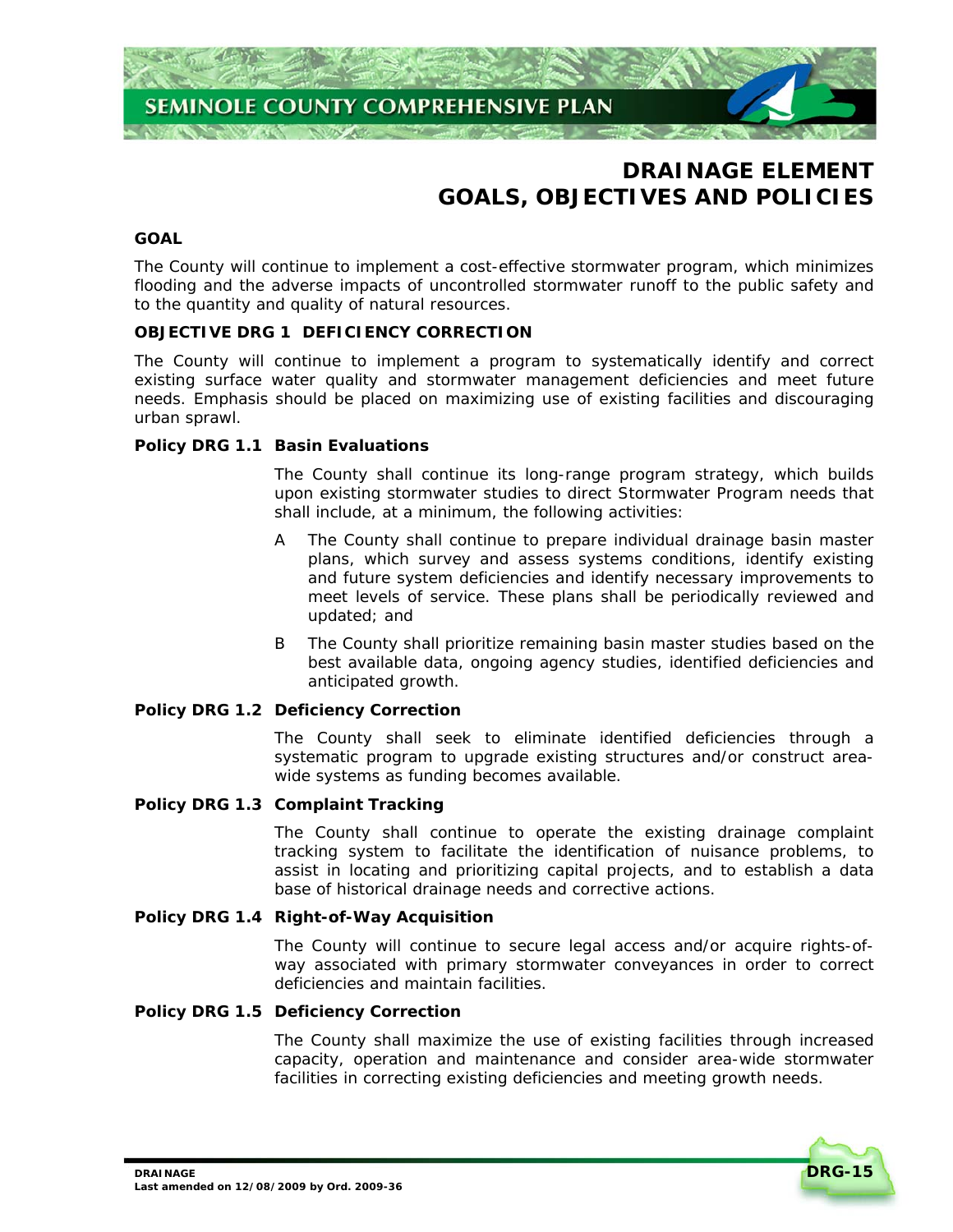

# **DRAINAGE ELEMENT GOALS, OBJECTIVES AND POLICIES**

# **GOAL**

The County will continue to implement a cost-effective stormwater program, which minimizes flooding and the adverse impacts of uncontrolled stormwater runoff to the public safety and to the quantity and quality of natural resources.

# **OBJECTIVE DRG 1 DEFICIENCY CORRECTION**

The County will continue to implement a program to systematically identify and correct existing surface water quality and stormwater management deficiencies and meet future needs. Emphasis should be placed on maximizing use of existing facilities and discouraging urban sprawl.

#### **Policy DRG 1.1 Basin Evaluations**

The County shall continue its long-range program strategy, which builds upon existing stormwater studies to direct Stormwater Program needs that shall include, at a minimum, the following activities:

- A The County shall continue to prepare individual drainage basin master plans, which survey and assess systems conditions, identify existing and future system deficiencies and identify necessary improvements to meet levels of service. These plans shall be periodically reviewed and updated; and
- B The County shall prioritize remaining basin master studies based on the best available data, ongoing agency studies, identified deficiencies and anticipated growth.

#### **Policy DRG 1.2 Deficiency Correction**

The County shall seek to eliminate identified deficiencies through a systematic program to upgrade existing structures and/or construct areawide systems as funding becomes available.

#### **Policy DRG 1.3 Complaint Tracking**

The County shall continue to operate the existing drainage complaint tracking system to facilitate the identification of nuisance problems, to assist in locating and prioritizing capital projects, and to establish a data base of historical drainage needs and corrective actions.

#### **Policy DRG 1.4 Right-of-Way Acquisition**

The County will continue to secure legal access and/or acquire rights-ofway associated with primary stormwater conveyances in order to correct deficiencies and maintain facilities.

#### **Policy DRG 1.5 Deficiency Correction**

The County shall maximize the use of existing facilities through increased capacity, operation and maintenance and consider area-wide stormwater facilities in correcting existing deficiencies and meeting growth needs.

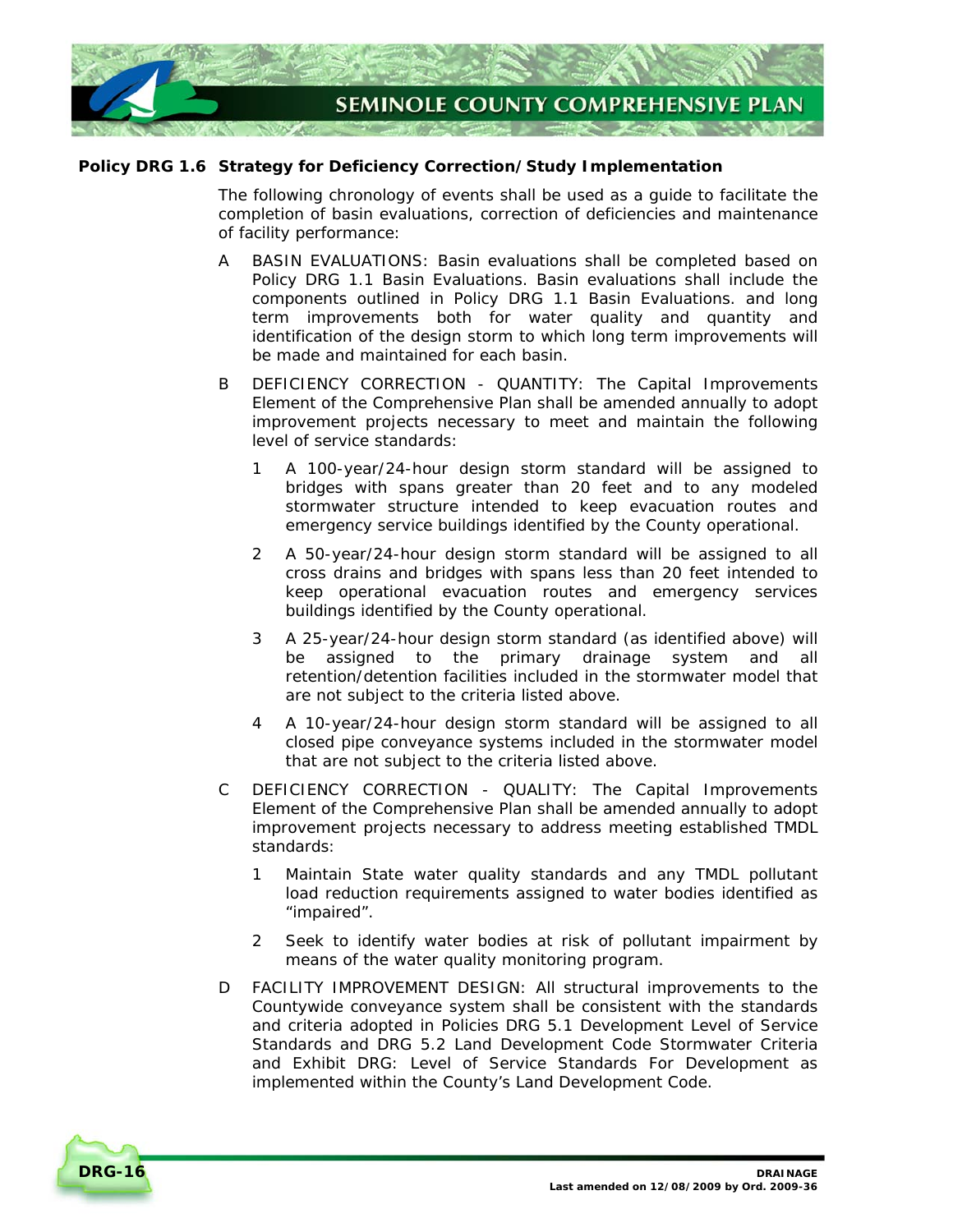

# **Policy DRG 1.6 Strategy for Deficiency Correction/Study Implementation**

The following chronology of events shall be used as a guide to facilitate the completion of basin evaluations, correction of deficiencies and maintenance of facility performance:

- A BASIN EVALUATIONS: Basin evaluations shall be completed based on *Policy DRG 1.1 Basin Evaluations*. Basin evaluations shall include the components outlined in *Policy DRG 1.1 Basin Evaluations*. and long term improvements both for water quality and quantity and identification of the design storm to which long term improvements will be made and maintained for each basin.
- B DEFICIENCY CORRECTION QUANTITY: The Capital Improvements Element of the Comprehensive Plan shall be amended annually to adopt improvement projects necessary to meet and maintain the following level of service standards:
	- 1 A 100-year/24-hour design storm standard will be assigned to bridges with spans greater than 20 feet and to any modeled stormwater structure intended to keep evacuation routes and emergency service buildings identified by the County operational.
	- 2 A 50-year/24-hour design storm standard will be assigned to all cross drains and bridges with spans less than 20 feet intended to keep operational evacuation routes and emergency services buildings identified by the County operational.
	- 3 A 25-year/24-hour design storm standard (as identified above) will be assigned to the primary drainage system and all retention/detention facilities included in the stormwater model that are not subject to the criteria listed above.
	- 4 A 10-year/24-hour design storm standard will be assigned to all closed pipe conveyance systems included in the stormwater model that are not subject to the criteria listed above.
- C DEFICIENCY CORRECTION QUALITY: The Capital Improvements Element of the Comprehensive Plan shall be amended annually to adopt improvement projects necessary to address meeting established TMDL standards:
	- 1 Maintain State water quality standards and any TMDL pollutant load reduction requirements assigned to water bodies identified as "impaired".
	- 2 Seek to identify water bodies at risk of pollutant impairment by means of the water quality monitoring program.
- D FACILITY IMPROVEMENT DESIGN: All structural improvements to the Countywide conveyance system shall be consistent with the standards and criteria adopted in *Policies DRG 5.1 Development Level of Service Standards* and *DRG 5.2 Land Development Code Stormwater Criteria* and *Exhibit DRG: Level of Service Standards For Development* as implemented within the County's Land Development Code.

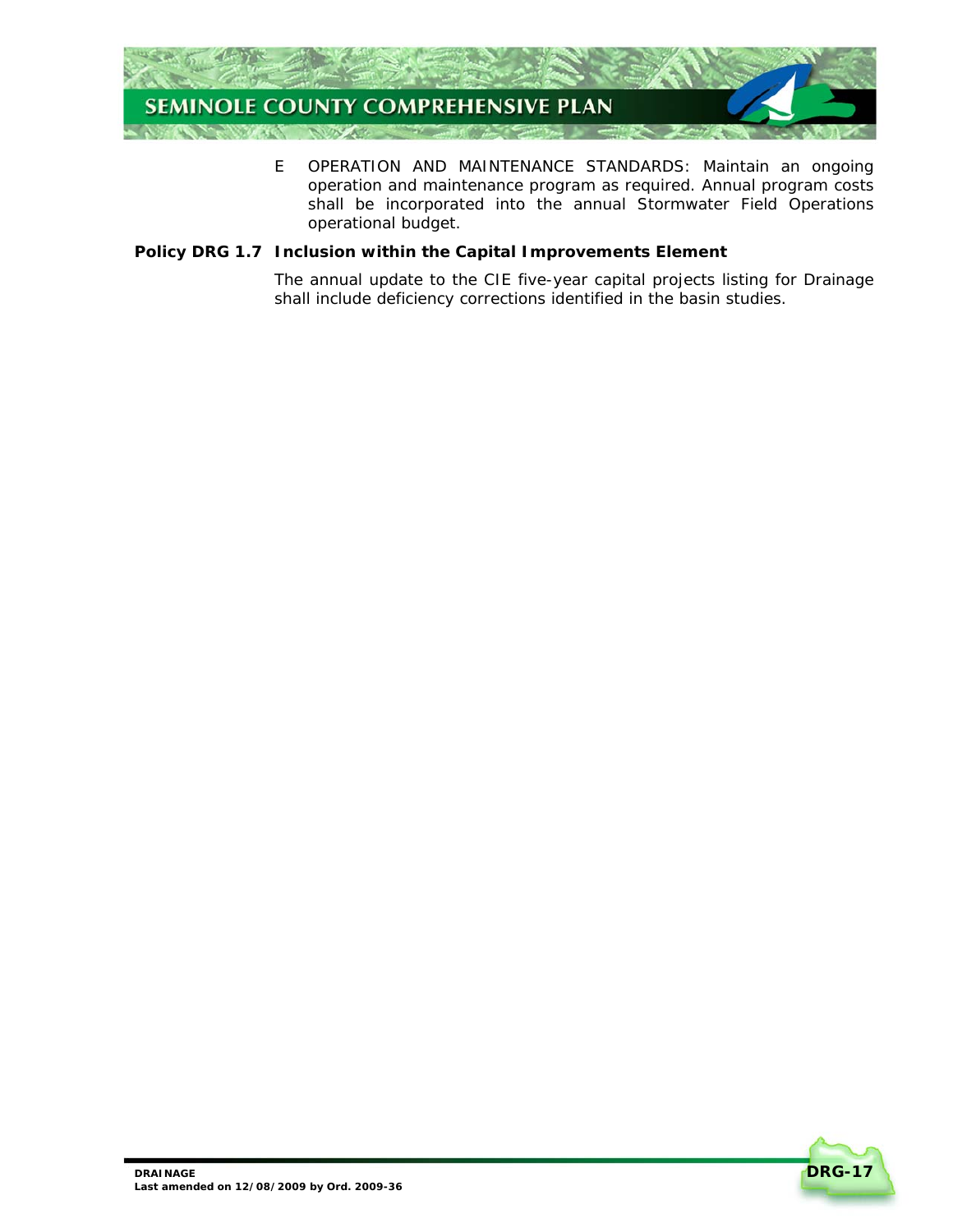

E OPERATION AND MAINTENANCE STANDARDS: Maintain an ongoing operation and maintenance program as required. Annual program costs shall be incorporated into the annual Stormwater Field Operations operational budget.

# **Policy DRG 1.7 Inclusion within the Capital Improvements Element**

The annual update to the CIE five-year capital projects listing for Drainage shall include deficiency corrections identified in the basin studies.

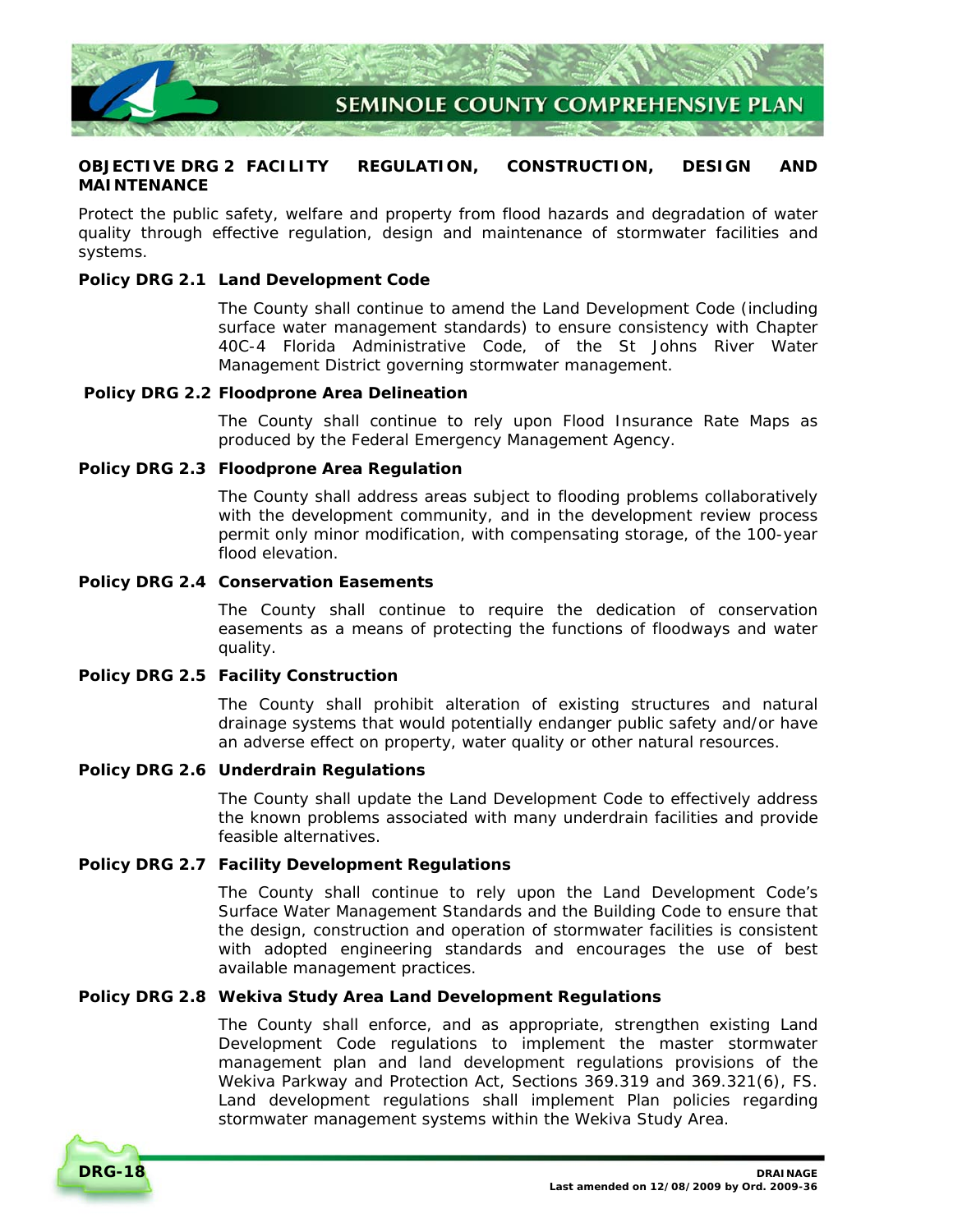

# **OBJECTIVE DRG 2 FACILITY REGULATION, CONSTRUCTION, DESIGN AND MAINTENANCE**

Protect the public safety, welfare and property from flood hazards and degradation of water quality through effective regulation, design and maintenance of stormwater facilities and systems.

# **Policy DRG 2.1 Land Development Code**

The County shall continue to amend the Land Development Code (including surface water management standards) to ensure consistency with Chapter 40C-4 Florida Administrative Code, of the St Johns River Water Management District governing stormwater management.

#### **Policy DRG 2.2 Floodprone Area Delineation**

The County shall continue to rely upon Flood Insurance Rate Maps as produced by the Federal Emergency Management Agency.

#### **Policy DRG 2.3 Floodprone Area Regulation**

The County shall address areas subject to flooding problems collaboratively with the development community, and in the development review process permit only minor modification, with compensating storage, of the 100-year flood elevation.

# **Policy DRG 2.4 Conservation Easements**

The County shall continue to require the dedication of conservation easements as a means of protecting the functions of floodways and water quality.

# **Policy DRG 2.5 Facility Construction**

The County shall prohibit alteration of existing structures and natural drainage systems that would potentially endanger public safety and/or have an adverse effect on property, water quality or other natural resources.

# **Policy DRG 2.6 Underdrain Regulations**

The County shall update the Land Development Code to effectively address the known problems associated with many underdrain facilities and provide feasible alternatives.

#### **Policy DRG 2.7 Facility Development Regulations**

The County shall continue to rely upon the Land Development Code's Surface Water Management Standards and the Building Code to ensure that the design, construction and operation of stormwater facilities is consistent with adopted engineering standards and encourages the use of best available management practices.

#### **Policy DRG 2.8 Wekiva Study Area Land Development Regulations**

The County shall enforce, and as appropriate, strengthen existing Land Development Code regulations to implement the master stormwater management plan and land development regulations provisions of the Wekiva Parkway and Protection Act, Sections 369.319 and 369.321(6), FS. Land development regulations shall implement Plan policies regarding stormwater management systems within the Wekiva Study Area.

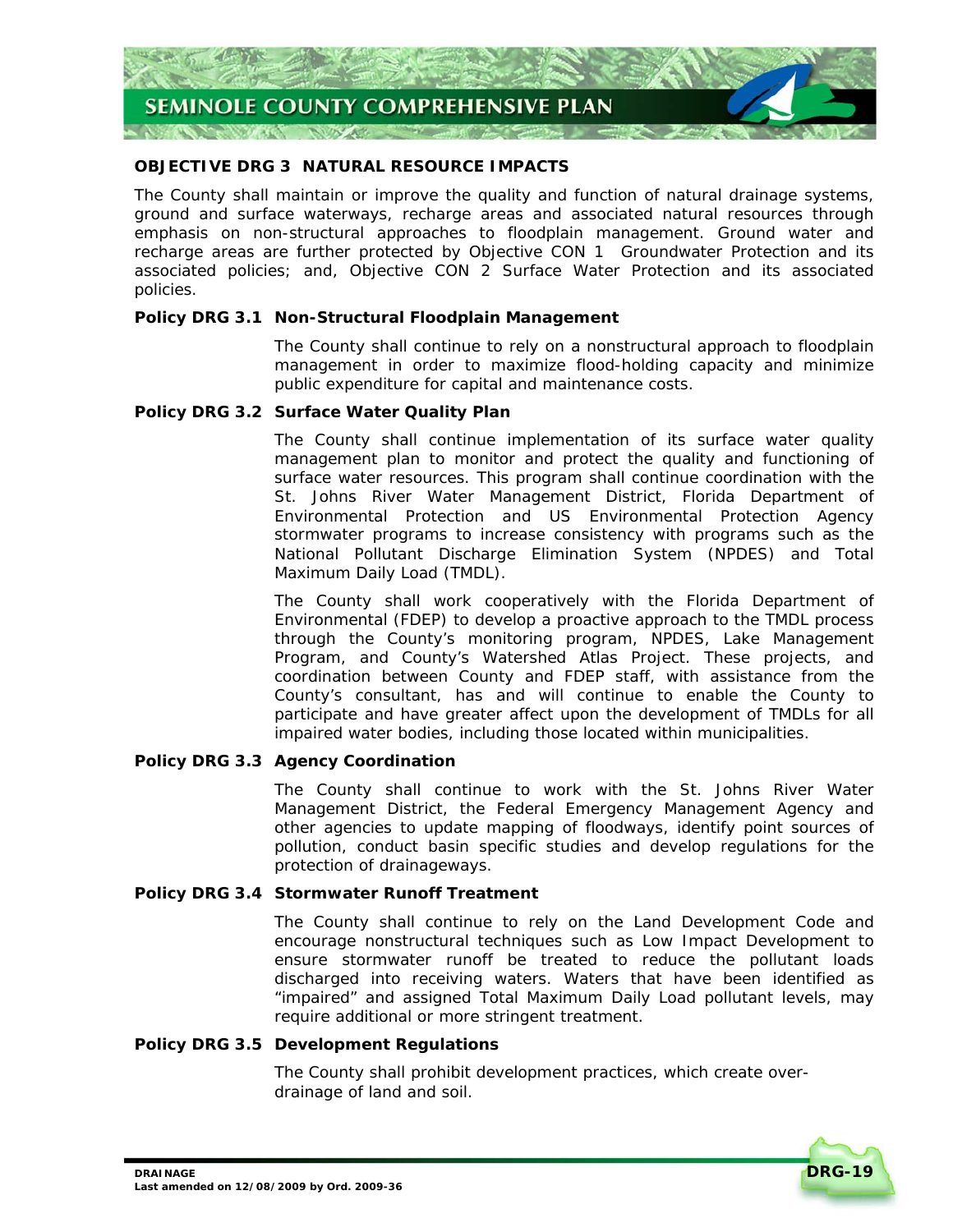

# **OBJECTIVE DRG 3 NATURAL RESOURCE IMPACTS**

The County shall maintain or improve the quality and function of natural drainage systems, ground and surface waterways, recharge areas and associated natural resources through emphasis on non-structural approaches to floodplain management. Ground water and recharge areas are further protected by *Objective CON 1 Groundwater Protection* and its associated policies; and, *Objective CON 2 Surface Water Protection* and its associated policies.

# **Policy DRG 3.1 Non-Structural Floodplain Management**

The County shall continue to rely on a nonstructural approach to floodplain management in order to maximize flood-holding capacity and minimize public expenditure for capital and maintenance costs.

# **Policy DRG 3.2 Surface Water Quality Plan**

The County shall continue implementation of its surface water quality management plan to monitor and protect the quality and functioning of surface water resources. This program shall continue coordination with the St. Johns River Water Management District, Florida Department of Environmental Protection and US Environmental Protection Agency stormwater programs to increase consistency with programs such as the National Pollutant Discharge Elimination System (NPDES) and Total Maximum Daily Load (TMDL).

The County shall work cooperatively with the Florida Department of Environmental (FDEP) to develop a proactive approach to the TMDL process through the County's monitoring program, NPDES, Lake Management Program, and County's Watershed Atlas Project. These projects, and coordination between County and FDEP staff, with assistance from the County's consultant, has and will continue to enable the County to participate and have greater affect upon the development of TMDLs for all impaired water bodies, including those located within municipalities.

# **Policy DRG 3.3 Agency Coordination**

The County shall continue to work with the St. Johns River Water Management District, the Federal Emergency Management Agency and other agencies to update mapping of floodways, identify point sources of pollution, conduct basin specific studies and develop regulations for the protection of drainageways.

# **Policy DRG 3.4 Stormwater Runoff Treatment**

The County shall continue to rely on the Land Development Code and encourage nonstructural techniques such as Low Impact Development to ensure stormwater runoff be treated to reduce the pollutant loads discharged into receiving waters. Waters that have been identified as "impaired" and assigned Total Maximum Daily Load pollutant levels, may require additional or more stringent treatment.

# **Policy DRG 3.5 Development Regulations**

The County shall prohibit development practices, which create overdrainage of land and soil.

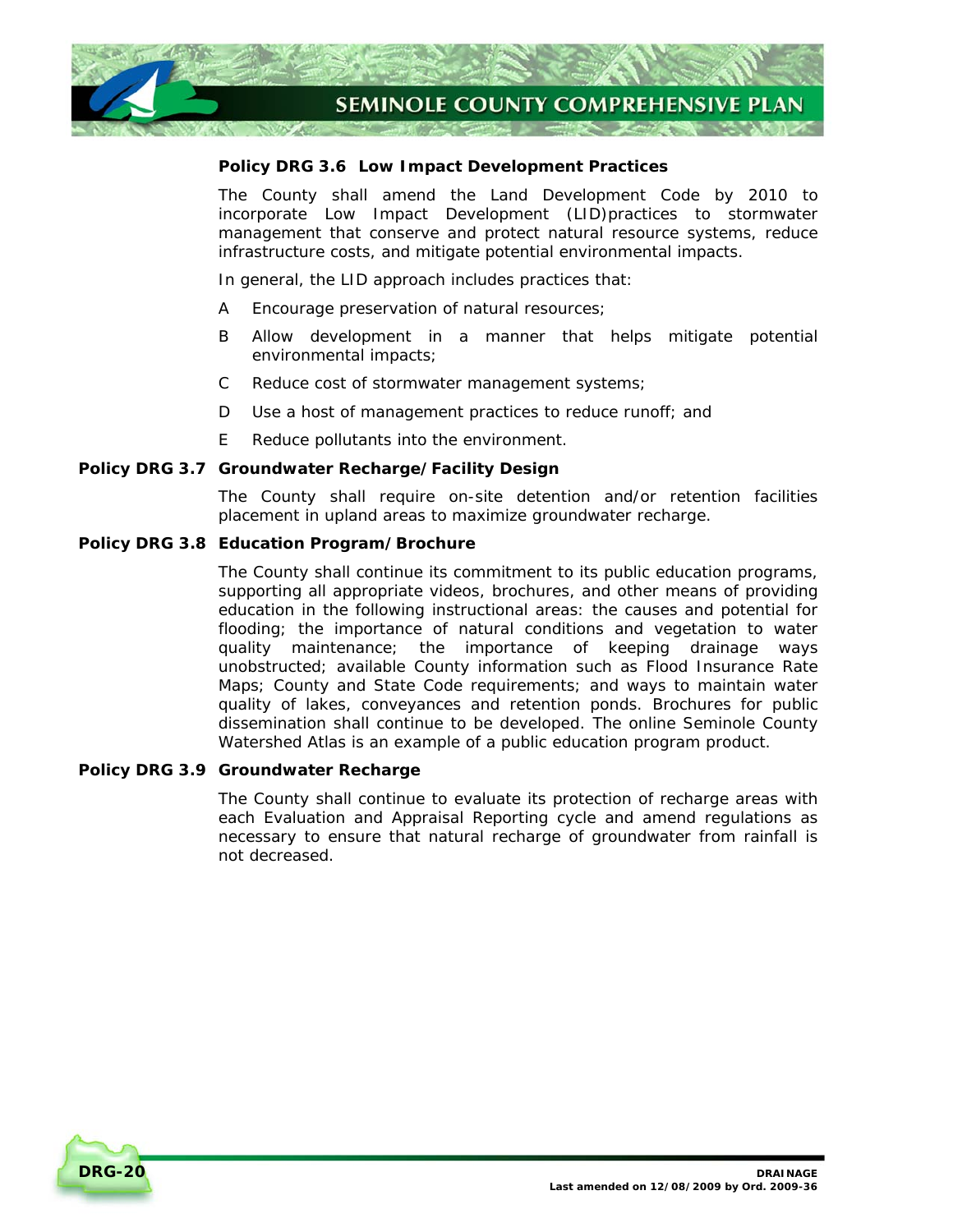

# **Policy DRG 3.6 Low Impact Development Practices**

The County shall amend the Land Development Code by 2010 to incorporate Low Impact Development (LID)practices to stormwater management that conserve and protect natural resource systems, reduce infrastructure costs, and mitigate potential environmental impacts.

In general, the LID approach includes practices that:

- A Encourage preservation of natural resources;
- B Allow development in a manner that helps mitigate potential environmental impacts;
- C Reduce cost of stormwater management systems;
- D Use a host of management practices to reduce runoff; and
- E Reduce pollutants into the environment.

# **Policy DRG 3.7 Groundwater Recharge/Facility Design**

The County shall require on-site detention and/or retention facilities placement in upland areas to maximize groundwater recharge.

#### **Policy DRG 3.8 Education Program/Brochure**

The County shall continue its commitment to its public education programs, supporting all appropriate videos, brochures, and other means of providing education in the following instructional areas: the causes and potential for flooding; the importance of natural conditions and vegetation to water quality maintenance; the importance of keeping drainage ways unobstructed; available County information such as Flood Insurance Rate Maps; County and State Code requirements; and ways to maintain water quality of lakes, conveyances and retention ponds. Brochures for public dissemination shall continue to be developed. The online Seminole County Watershed Atlas is an example of a public education program product.

#### **Policy DRG 3.9 Groundwater Recharge**

The County shall continue to evaluate its protection of recharge areas with each Evaluation and Appraisal Reporting cycle and amend regulations as necessary to ensure that natural recharge of groundwater from rainfall is not decreased.

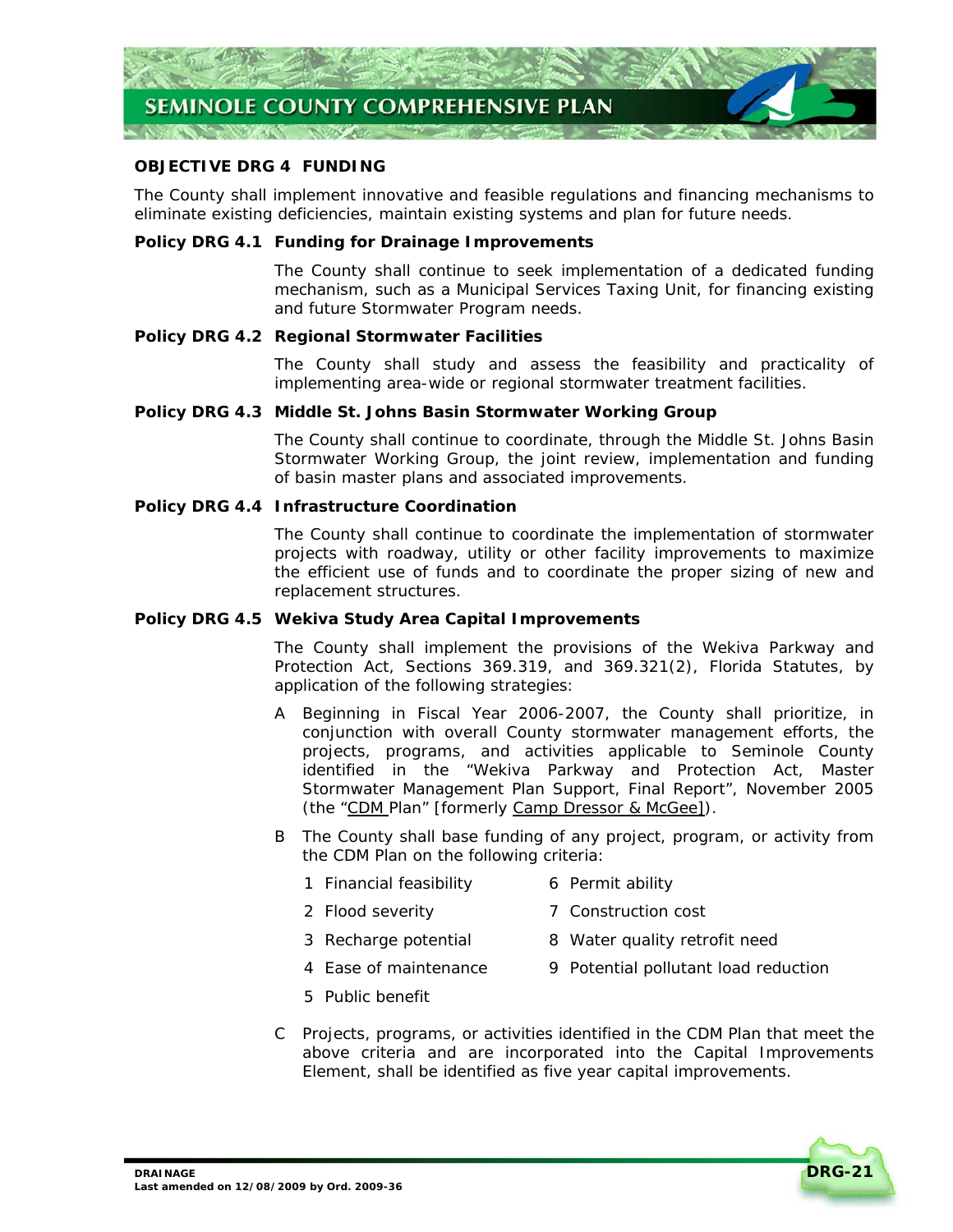

# **OBJECTIVE DRG 4 FUNDING**

The County shall implement innovative and feasible regulations and financing mechanisms to eliminate existing deficiencies, maintain existing systems and plan for future needs.

#### **Policy DRG 4.1 Funding for Drainage Improvements**

The County shall continue to seek implementation of a dedicated funding mechanism, such as a Municipal Services Taxing Unit, for financing existing and future Stormwater Program needs.

#### **Policy DRG 4.2 Regional Stormwater Facilities**

The County shall study and assess the feasibility and practicality of implementing area-wide or regional stormwater treatment facilities.

#### **Policy DRG 4.3 Middle St. Johns Basin Stormwater Working Group**

The County shall continue to coordinate, through the Middle St. Johns Basin Stormwater Working Group, the joint review, implementation and funding of basin master plans and associated improvements.

#### **Policy DRG 4.4 Infrastructure Coordination**

The County shall continue to coordinate the implementation of stormwater projects with roadway, utility or other facility improvements to maximize the efficient use of funds and to coordinate the proper sizing of new and replacement structures.

# **Policy DRG 4.5 Wekiva Study Area Capital Improvements**

The County shall implement the provisions of the Wekiva Parkway and Protection Act, Sections 369.319, and 369.321(2), Florida Statutes, by application of the following strategies:

- A Beginning in Fiscal Year 2006-2007, the County shall prioritize, in conjunction with overall County stormwater management efforts, the projects, programs, and activities applicable to Seminole County identified in the "Wekiva Parkway and Protection Act, Master Stormwater Management Plan Support, Final Report", November 2005 (the "CDM Plan" [formerly *Camp Dressor & McGee*]).
- B The County shall base funding of any project, program, or activity from the CDM Plan on the following criteria:
	- 1 Financial feasibility 6 Permit ability
	- 2 Flood severity **7** Construction cost
- -
	- 3 Recharge potential 8 Water quality retrofit need
	- 4 Ease of maintenance 9 Potential pollutant load reduction
	- 5 Public benefit
- C Projects, programs, or activities identified in the CDM Plan that meet the above criteria and are incorporated into the Capital Improvements Element, shall be identified as five year capital improvements.

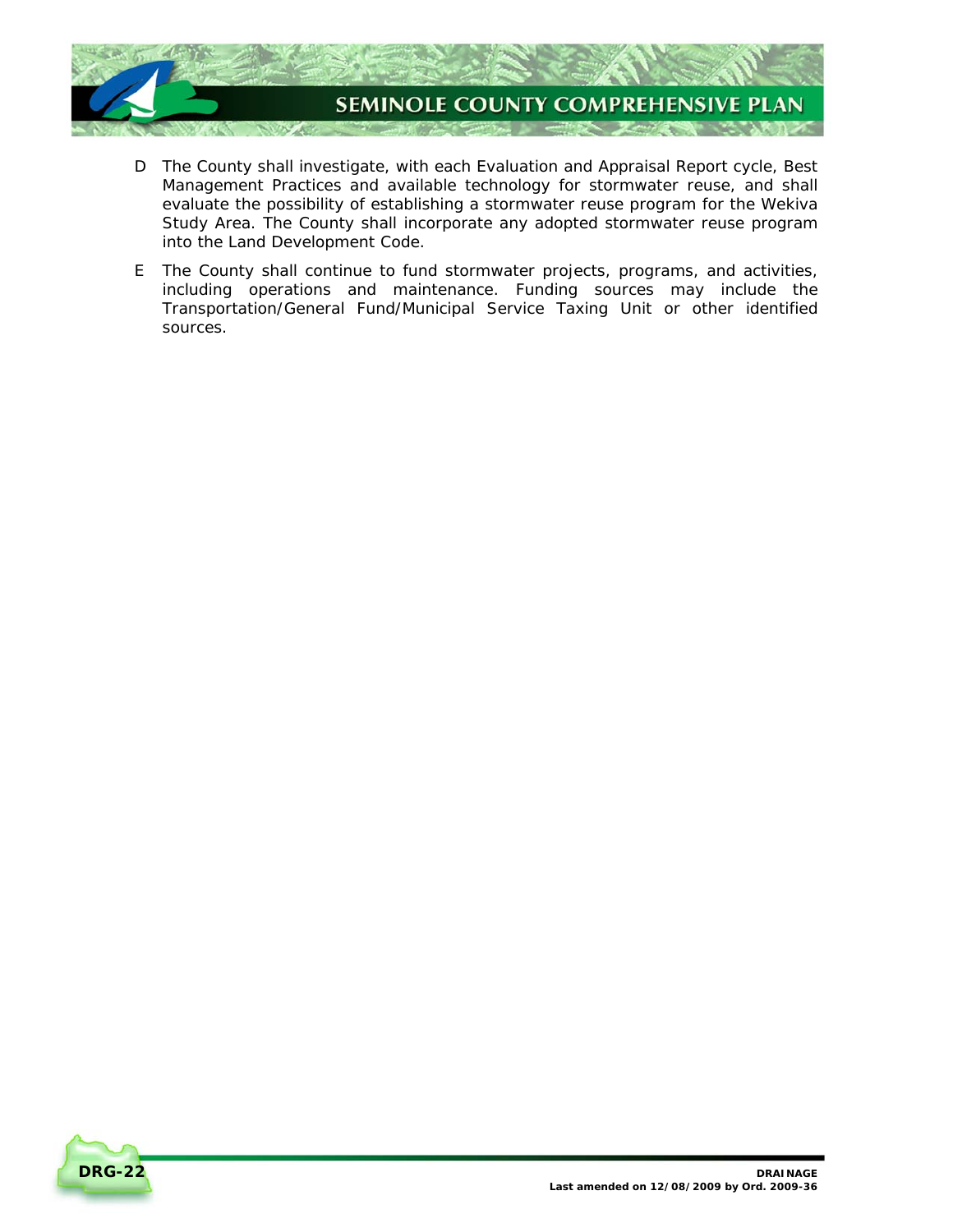

- D The County shall investigate, with each Evaluation and Appraisal Report cycle, Best Management Practices and available technology for stormwater reuse, and shall evaluate the possibility of establishing a stormwater reuse program for the Wekiva Study Area. The County shall incorporate any adopted stormwater reuse program into the Land Development Code.
- E The County shall continue to fund stormwater projects, programs, and activities, including operations and maintenance. Funding sources may include the Transportation/General Fund/Municipal Service Taxing Unit or other identified sources.

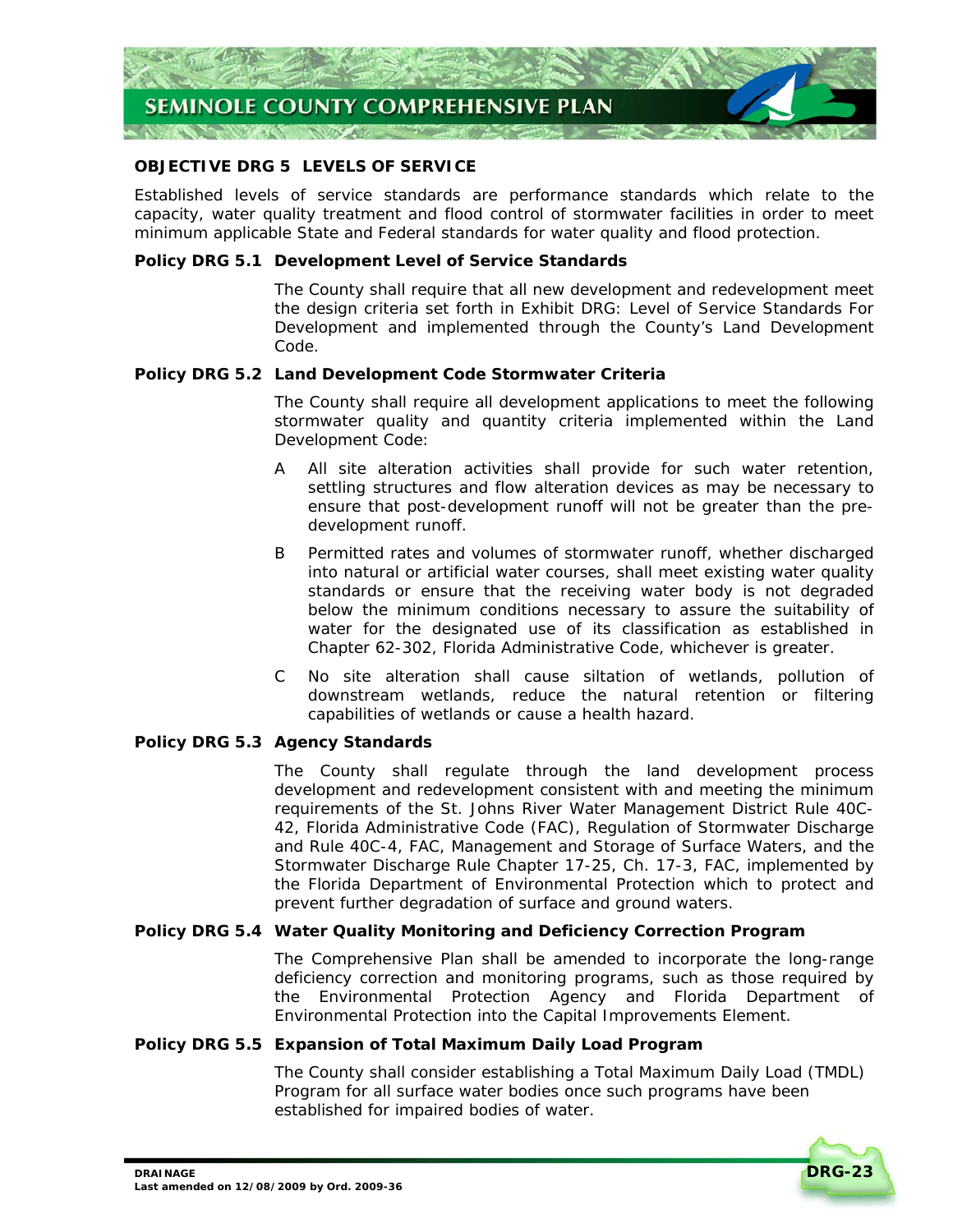

# **OBJECTIVE DRG 5 LEVELS OF SERVICE**

Established levels of service standards are performance standards which relate to the capacity, water quality treatment and flood control of stormwater facilities in order to meet minimum applicable State and Federal standards for water quality and flood protection.

# **Policy DRG 5.1 Development Level of Service Standards**

The County shall require that all new development and redevelopment meet the design criteria set forth in *Exhibit DRG: Level of Service Standards For Development* and implemented through the County's Land Development Code.

#### **Policy DRG 5.2 Land Development Code Stormwater Criteria**

The County shall require all development applications to meet the following stormwater quality and quantity criteria implemented within the Land Development Code:

- A All site alteration activities shall provide for such water retention, settling structures and flow alteration devices as may be necessary to ensure that post-development runoff will not be greater than the predevelopment runoff.
- B Permitted rates and volumes of stormwater runoff, whether discharged into natural or artificial water courses, shall meet existing water quality standards or ensure that the receiving water body is not degraded below the minimum conditions necessary to assure the suitability of water for the designated use of its classification as established in Chapter 62-302, Florida Administrative Code, whichever is greater.
- C No site alteration shall cause siltation of wetlands, pollution of downstream wetlands, reduce the natural retention or filtering capabilities of wetlands or cause a health hazard.

# **Policy DRG 5.3 Agency Standards**

The County shall regulate through the land development process development and redevelopment consistent with and meeting the minimum requirements of the St. Johns River Water Management District Rule 40C-42, Florida Administrative Code (FAC), Regulation of Stormwater Discharge and Rule 40C-4, FAC, Management and Storage of Surface Waters, and the Stormwater Discharge Rule Chapter 17-25, Ch. 17-3, FAC, implemented by the Florida Department of Environmental Protection which to protect and prevent further degradation of surface and ground waters.

# **Policy DRG 5.4 Water Quality Monitoring and Deficiency Correction Program**

The Comprehensive Plan shall be amended to incorporate the long-range deficiency correction and monitoring programs, such as those required by the Environmental Protection Agency and Florida Department of Environmental Protection into the Capital Improvements Element.

# **Policy DRG 5.5 Expansion of Total Maximum Daily Load Program**

The County shall consider establishing a Total Maximum Daily Load (TMDL) Program for all surface water bodies once such programs have been established for impaired bodies of water.